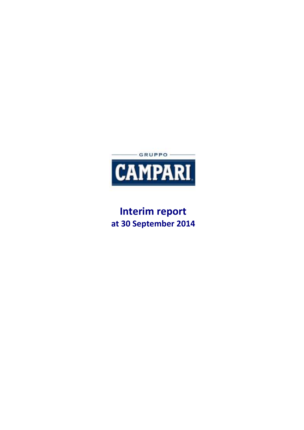

# **Interim report at 30 September 2014**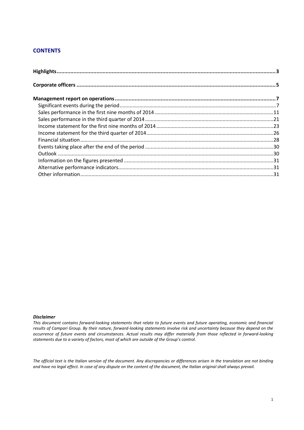# **CONTENTS**

#### *Disclaimer*

*This document contains forward-looking statements that relate to future events and future operating, economic and financial results of Campari Group. By their nature, forward-looking statements involve risk and uncertainty because they depend on the occurrence of future events and circumstances. Actual results may differ materially from those reflected in forward-looking statements due to a variety of factors, most of which are outside of the Group's control.*

*The official text is the Italian version of the document. Any discrepancies or differences arisen in the translation are not binding and have no legal effect. In case of any dispute on the content of the document, the Italian original shall always prevail.*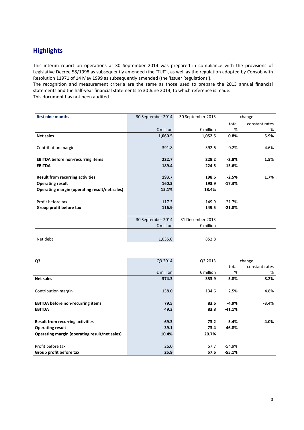# **Highlights**

This interim report on operations at 30 September 2014 was prepared in compliance with the provisions of Legislative Decree 58/1998 as subsequently amended (the 'TUF'), as well as the regulation adopted by Consob with Resolution 11971 of 14 May 1999 as subsequently amended (the 'Issuer Regulations').

The recognition and measurement criteria are the same as those used to prepare the 2013 annual financial statements and the half-year financial statements to 30 June 2014, to which reference is made. This document has not been audited.

| first nine months                             | 30 September 2014  | 30 September 2013  | change   |                |  |
|-----------------------------------------------|--------------------|--------------------|----------|----------------|--|
|                                               |                    |                    | total    | constant rates |  |
|                                               | $\epsilon$ million | $\epsilon$ million | %        | %              |  |
| <b>Net sales</b>                              | 1,060.5            | 1,052.5            | 0.8%     | 5.9%           |  |
| Contribution margin                           | 391.8              | 392.6              | $-0.2%$  | 4.6%           |  |
| <b>EBITDA before non-recurring items</b>      | 222.7              | 229.2              | $-2.8%$  | 1.5%           |  |
| <b>EBITDA</b>                                 | 189.4              | 224.5              | $-15.6%$ |                |  |
| <b>Result from recurring activities</b>       | 193.7              | 198.6              | $-2.5%$  | 1.7%           |  |
| <b>Operating result</b>                       | 160.3              | 193.9              | $-17.3%$ |                |  |
| Operating margin (operating result/net sales) | 15.1%              | 18.4%              |          |                |  |
| Profit before tax                             | 117.3              | 149.9              | $-21.7%$ |                |  |
| Group profit before tax                       | 116.9              | 149.5              | $-21.8%$ |                |  |
|                                               | 30 September 2014  | 31 December 2013   |          |                |  |
|                                               | $\epsilon$ million | $\epsilon$ million |          |                |  |
|                                               |                    |                    |          |                |  |
| Net debt                                      | 1,035.0            | 852.8              |          |                |  |

| Q <sub>3</sub>                                | Q3 2014            | Q3 2013            |          | change         |
|-----------------------------------------------|--------------------|--------------------|----------|----------------|
|                                               |                    |                    | total    | constant rates |
|                                               | $\epsilon$ million | $\epsilon$ million | %        | %              |
| <b>Net sales</b>                              | 374.3              | 353.9              | 5.8%     | 8.2%           |
|                                               |                    |                    |          |                |
| Contribution margin                           | 138.0              | 134.6              | 2.5%     | 4.8%           |
|                                               |                    |                    |          |                |
| <b>EBITDA before non-recurring items</b>      | 79.5               | 83.6               | $-4.9%$  | $-3.4%$        |
| <b>EBITDA</b>                                 | 49.3               | 83.8               | $-41.1%$ |                |
|                                               |                    |                    |          |                |
| <b>Result from recurring activities</b>       | 69.3               | 73.2               | $-5.4%$  | -4.0%          |
| <b>Operating result</b>                       | 39.1               | 73.4               | $-46.8%$ |                |
| Operating margin (operating result/net sales) | 10.4%              | 20.7%              |          |                |
|                                               |                    |                    |          |                |
| Profit before tax                             | 26.0               | 57.7               | $-54.9%$ |                |
| Group profit before tax                       | 25.9               | 57.6               | $-55.1%$ |                |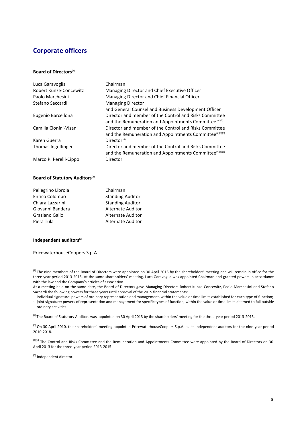# **Corporate officers**

#### **Board of Directors**<sup>(1)</sup>

| Luca Garavoglia        | Chairman                                                             |
|------------------------|----------------------------------------------------------------------|
| Robert Kunze-Concewitz | Managing Director and Chief Executive Officer                        |
| Paolo Marchesini       | Managing Director and Chief Financial Officer                        |
| Stefano Saccardi       | <b>Managing Director</b>                                             |
|                        | and General Counsel and Business Development Officer                 |
| Eugenio Barcellona     | Director and member of the Control and Risks Committee               |
|                        | and the Remuneration and Appointments Committee (4)(5)               |
| Camilla Cionini-Visani | Director and member of the Control and Risks Committee               |
|                        | and the Remuneration and Appointments Committee <sup>(4)(5)(6)</sup> |
| Karen Guerra           | Director <sup>(6)</sup>                                              |
| Thomas Ingelfinger     | Director and member of the Control and Risks Committee               |
|                        | and the Remuneration and Appointments Committee <sup>(4)(5)(6)</sup> |
| Marco P. Perelli-Cippo | Director                                                             |

#### **Board of Statutory Auditors**(2)

| Pellegrino Libroia | Chairman                 |
|--------------------|--------------------------|
| Enrico Colombo     | <b>Standing Auditor</b>  |
| Chiara Lazzarini   | <b>Standing Auditor</b>  |
| Giovanni Bandera   | <b>Alternate Auditor</b> |
| Graziano Gallo     | <b>Alternate Auditor</b> |
| Piera Tula         | <b>Alternate Auditor</b> |

#### **Independent auditors**(3)

PricewaterhouseCoopers S.p.A.

<sup>(1)</sup> The nine members of the Board of Directors were appointed on 30 April 2013 by the shareholders' meeting and will remain in office for the three-year period 2013-2015. At the same shareholders' meeting, Luca Garavoglia was appointed Chairman and granted powers in accordance with the law and the Company's articles of association.

At a meeting held on the same date, the Board of Directors gave Managing Directors Robert Kunze-Concewitz, Paolo Marchesini and Stefano Saccardi the following powers for three years until approval of the 2015 financial statements:

- individual signature: powers of ordinary representation and management, within the value or time limits established for each type of function;
- joint signature: powers of representation and management for specific types of function, within the value or time limits deemed to fall outside ordinary activities.

 $^{(2)}$  The Board of Statutory Auditors was appointed on 30 April 2013 by the shareholders' meeting for the three-year period 2013-2015.

<sup>(3)</sup> On 30 April 2010, the shareholders' meeting appointed PricewaterhouseCoopers S.p.A. as its independent auditors for the nine-year period 2010-2018.

(4)(5) The Control and Risks Committee and the Remuneration and Appointments Committee were appointed by the Board of Directors on 30 April 2013 for the three-year period 2013-2015.

(6) Independent director.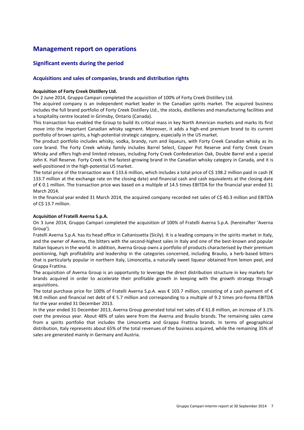# **Management report on operations**

# **Significant events during the period**

# **Acquisitions and sales of companies, brands and distribution rights**

#### **Acquisition of Forty Creek Distillery Ltd.**

On 2 June 2014, Gruppo Campari completed the acquisition of 100% of Forty Creek Distillery Ltd.

The acquired company is an independent market leader in the Canadian spirits market. The acquired business includes the full brand portfolio of Forty Creek Distillery Ltd., the stocks, distilleries and manufacturing facilities and a hospitality centre located in Grimsby, Ontario (Canada).

This transaction has enabled the Group to build its critical mass in key North American markets and marks its first move into the important Canadian whisky segment. Moreover, it adds a high-end premium brand to its current portfolio of brown spirits, a high-potential strategic category, especially in the US market.

The product portfolio includes whisky, vodka, brandy, rum and liqueurs, with Forty Creek Canadian whisky as its core brand. The Forty Creek whisky family includes Barrel Select, Copper Pot Reserve and Forty Creek Cream Whisky and offers high-end limited releases, including Forty Creek Confederation Oak, Double Barrel and a special John K. Hall Reserve. Forty Creek is the fastest-growing brand in the Canadian whisky category in Canada, and it is well-positioned in the high-potential US market.

The total price of the transaction was  $\epsilon$  133.6 million, which includes a total price of C\$ 198.2 million paid in cash ( $\epsilon$ 133.7 million at the exchange rate on the closing date) and financial cash and cash equivalents at the closing date of € 0.1 million. The transaction price was based on a multiple of 14.5 times EBITDA for the financial year ended 31 March 2014

In the financial year ended 31 March 2014, the acquired company recorded net sales of C\$ 40.3 million and EBITDA of C\$ 13.7 million.

#### **Acquisition of Fratelli Averna S.p.A.**

On 3 June 2014, Gruppo Campari completed the acquisition of 100% of Fratelli Averna S.p.A. (hereinafter 'Averna Group').

Fratelli Averna S.p.A. has its head office in Caltanissetta (Sicily). It is a leading company in the spirits market in Italy, and the owner of Averna, the bitters with the second-highest sales in Italy and one of the best-known and popular Italian liqueurs in the world. In addition, Averna Group owns a portfolio of products characterised by their premium positioning, high profitability and leadership in the categories concerned, including Braulio, a herb-based bitters that is particularly popular in northern Italy, Limoncetta, a naturally sweet liqueur obtained from lemon peel, and Grappa Frattina.

The acquisition of Averna Group is an opportunity to leverage the direct distribution structure in key markets for brands acquired in order to accelerate their profitable growth in keeping with the growth strategy through acquisitions.

The total purchase price for 100% of Fratelli Averna S.p.A. was € 103.7 million, consisting of a cash payment of € 98.0 million and financial net debt of € 5.7 million and corresponding to a multiple of 9.2 times pro-forma EBITDA for the year ended 31 December 2013.

In the year ended 31 December 2013, Averna Group generated total net sales of € 61.8 million, an increase of 3.1% over the previous year. About 48% of sales were from the Averna and Braulio brands. The remaining sales came from a spirits portfolio that includes the Limoncetta and Grappa Frattina brands. In terms of geographical distribution, Italy represents about 65% of the total revenues of the business acquired, while the remaining 35% of sales are generated mainly in Germany and Austria.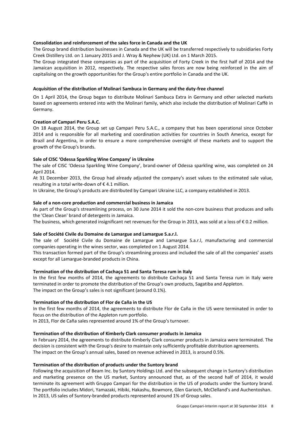#### **Consolidation and reinforcement of the sales force in Canada and the UK**

The Group brand distribution businesses in Canada and the UK will be transferred respectively to subsidiaries Forty Creek Distillery Ltd. on 1 January 2015 and J. Wray & Nephew (UK) Ltd. on 1 March 2015.

The Group integrated these companies as part of the acquisition of Forty Creek in the first half of 2014 and the Jamaican acquisition in 2012, respectively. The respective sales forces are now being reinforced in the aim of capitalising on the growth opportunities for the Group's entire portfolio in Canada and the UK.

#### **Acquisition of the distribution of Molinari Sambuca in Germany and the duty-free channel**

On 1 April 2014, the Group began to distribute Molinari Sambuca Extra in Germany and other selected markets based on agreements entered into with the Molinari family, which also include the distribution of Molinari Caffè in Germany.

#### **Creation of Campari Peru S.A.C.**

On 18 August 2014, the Group set up Campari Peru S.A.C., a company that has been operational since October 2014 and is responsible for all marketing and coordination activities for countries in South America, except for Brazil and Argentina, in order to ensure a more comprehensive oversight of these markets and to support the growth of the Group's brands.

#### **Sale of CISC 'Odessa Sparkling Wine Company' in Ukraine**

The sale of CISC 'Odessa Sparkling Wine Company', brand-owner of Odessa sparkling wine, was completed on 24 April 2014.

At 31 December 2013, the Group had already adjusted the company's asset values to the estimated sale value, resulting in a total write-down of  $\epsilon$  4.1 million.

In Ukraine, the Group's products are distributed by Campari Ukraine LLC, a company established in 2013.

#### **Sale of a non-core production and commercial business in Jamaica**

As part of the Group's streamlining process, on 30 June 2014 it sold the non-core business that produces and sells the 'Clean Clean' brand of detergents in Jamaica.

The business, which generated insignificant net revenues for the Group in 2013, was sold at a loss of  $\epsilon$  0.2 million.

#### **Sale of Société Civile du Domaine de Lamargue and Lamargue S.a.r.l.**

The sale of Société Civile du Domaine de Lamargue and Lamargue S.a.r.l, manufacturing and commercial companies operating in the wines sector, was completed on 1 August 2014.

This transaction formed part of the Group's streamlining process and included the sale of all the companies' assets except for all Lamargue-branded products in China.

#### **Termination of the distribution of Cachaça 51 and Santa Teresa rum in Italy**

In the first few months of 2014, the agreements to distribute Cachaça 51 and Santa Teresa rum in Italy were terminated in order to promote the distribution of the Group's own products, Sagatiba and Appleton. The impact on the Group's sales is not significant (around 0.1%).

#### **Termination of the distribution of Flor de Caña in the US**

In the first few months of 2014, the agreements to distribute Flor de Caña in the US were terminated in order to focus on the distribution of the Appleton rum portfolio.

In 2013, Flor de Caña sales represented around 1% of the Group's turnover.

#### **Termination of the distribution of Kimberly Clark consumer products in Jamaica**

In February 2014, the agreements to distribute Kimberly Clark consumer products in Jamaica were terminated. The decision is consistent with the Group's desire to maintain only sufficiently profitable distribution agreements. The impact on the Group's annual sales, based on revenue achieved in 2013, is around 0.5%.

#### **Termination of the distribution of products under the Suntory brand**

Following the acquisition of Beam Inc. by Suntory Holdings Ltd. and the subsequent change in Suntory's distribution and marketing presence on the US market, Suntory announced that, as of the second half of 2014, it would terminate its agreement with Gruppo Campari for the distribution in the US of products under the Suntory brand. The portfolio includes Midori, Yamazaki, Hibiki, Hakashu, Bowmore, Glen Garioch, McClelland's and Auchentoshan. In 2013, US sales of Suntory-branded products represented around 1% of Group sales.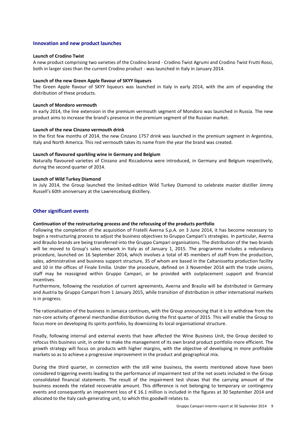#### **Innovation and new product launches**

#### **Launch of Crodino Twist**

A new product comprising two varieties of the Crodino brand - Crodino Twist Agrumi and Crodino Twist Frutti Rossi, both in larger sizes than the current Crodino product - was launched in Italy in January 2014.

#### **Launch of the new Green Apple flavour of SKYY liqueurs**

The Green Apple flavour of SKYY liqueurs was launched in Italy in early 2014, with the aim of expanding the distribution of these products.

#### **Launch of Mondoro vermouth**

In early 2014, the line extension in the premium vermouth segment of Mondoro was launched in Russia. The new product aims to increase the brand's presence in the premium segment of the Russian market.

#### **Launch of the new Cinzano vermouth drink**

In the first few months of 2014, the new Cinzano 1757 drink was launched in the premium segment in Argentina, Italy and North America. This red vermouth takes its name from the year the brand was created.

#### **Launch of flavoured sparkling wine in Germany and Belgium**

Naturally flavoured varieties of Cinzano and Riccadonna were introduced, in Germany and Belgium respectively, during the second quarter of 2014.

#### **Launch of Wild Turkey Diamond**

In July 2014, the Group launched the limited-edition Wild Turkey Diamond to celebrate master distiller Jimmy Russell's 60th anniversary at the Lawrenceburg distillery.

#### **Other significant events**

#### **Continuation of the restructuring process and the refocusing of the products portfolio**

Following the completion of the acquisition of Fratelli Averna S.p.A. on 3 June 2014, it has become necessary to begin a restructuring process to adjust the business objectives to Gruppo Campari's strategies. In particular, Averna and Braulio brands are being transferred into the Gruppo Campari organisations. The distribution of the two brands will be moved to Group's sales network in Italy as of January 1, 2015. The programme includes a redundancy procedure, launched on 16 September 2014, which involves a total of 45 members of staff from the production, sales, administrative and business support structure, 35 of whom are based in the Caltanissetta production facility and 10 in the offices of Finale Emilia. Under the procedure, defined on 3 November 2014 with the trade unions, staff may be reassigned within Gruppo Campari, or be provided with outplacement support and financial incentives.

Furthermore, following the resolution of current agreements, Averna and Braulio will be distributed in Germany and Austria by Gruppo Campari from 1 January 2015, while transition of distribution in other international markets is in progress.

The rationalisation of the business in Jamaica continues, with the Group announcing that it is to withdraw from the non-core activity of general merchandise distribution during the first quarter of 2015. This will enable the Group to focus more on developing its spirits portfolio, by downsizing its local organisational structure.

Finally, following internal and external events that have affected the Wine Business Unit, the Group decided to refocus this business unit, in order to make the management of its own brand product portfolio more efficient. The growth strategy will focus on products with higher margins, with the objective of developing in more profitable markets so as to achieve a progressive improvement in the product and geographical mix.

During the third quarter, in connection with the still wine business, the events mentioned above have been considered triggering events leading to the performance of impairment test of the net assets included in the Group consolidated financial statements. The result of the impairment test shows that the carrying amount of the business exceeds the related recoverable amount. This difference is not belonging to temporary or contingency events and consequently an impairment loss of € 16.1 million is included in the figures at 30 September 2014 and allocated to the Italy cash-generating unit, to which this goodwill relates to.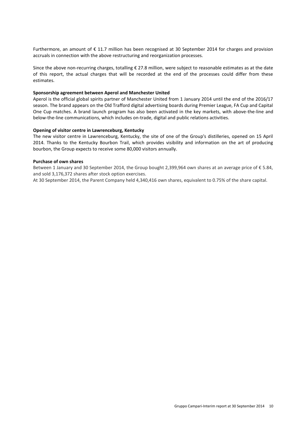Furthermore, an amount of  $\epsilon$  11.7 million has been recognised at 30 September 2014 for charges and provision accruals in connection with the above restructuring and reorganization processes.

Since the above non-recurring charges, totalling € 27.8 million, were subject to reasonable estimates as at the date of this report, the actual charges that will be recorded at the end of the processes could differ from these estimates.

#### **Sponsorship agreement between Aperol and Manchester United**

Aperol is the official global spirits partner of Manchester United from 1 January 2014 until the end of the 2016/17 season. The brand appears on the Old Trafford digital advertising boards during Premier League, FA Cup and Capital One Cup matches. A brand launch program has also been activated in the key markets, with above-the-line and below-the-line communications, which includes on-trade, digital and public relations activities.

#### **Opening of visitor centre in Lawrenceburg, Kentucky**

The new visitor centre in Lawrenceburg, Kentucky, the site of one of the Group's distilleries, opened on 15 April 2014. Thanks to the Kentucky Bourbon Trail, which provides visibility and information on the art of producing bourbon, the Group expects to receive some 80,000 visitors annually.

#### **Purchase of own shares**

Between 1 January and 30 September 2014, the Group bought 2,399,964 own shares at an average price of € 5.84, and sold 3,176,372 shares after stock option exercises.

At 30 September 2014, the Parent Company held 4,340,416 own shares, equivalent to 0.75% of the share capital.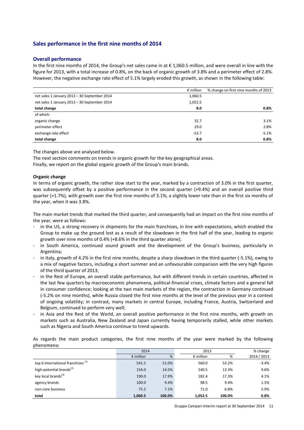# **Sales performance in the first nine months of 2014**

#### **Overall performance**

In the first nine months of 2014, the Group's net sales came in at € 1,060.5 million, and were overall in line with the figure for 2013, with a total increase of 0.8%, on the back of organic growth of 3.8% and a perimeter effect of 2.8%. However, the negative exchange rate effect of 5.1% largely eroded this growth, as shown in the following table:

|                                              | $\epsilon$ million | % change on first nine months of 2013 |
|----------------------------------------------|--------------------|---------------------------------------|
| net sales 1 January 2013 - 30 September 2014 | 1,060.5            |                                       |
| net sales 1 January 2013 - 30 September 2014 | 1,052.5            |                                       |
| total change                                 | 8.0                | $0.8\%$                               |
| of which:                                    |                    |                                       |
| organic change                               | 32.7               | 3.1%                                  |
| perimeter effect                             | 29.0               | 2.8%                                  |
| exchange rate effect                         | $-53.7$            | $-5.1%$                               |
| total change                                 | 8.0                | 0.8%                                  |

The changes above are analysed below.

The next section comments on trends in organic growth for the key geographical areas. Finally, we report on the global organic growth of the Group's main brands.

#### **Organic change**

In terms of organic growth, the rather slow start to the year, marked by a contraction of 3.0% in the first quarter, was subsequently offset by a positive performance in the second quarter (+9.4%) and an overall positive third quarter (+1.7%), with growth over the first nine months of 3.1%, a slightly lower rate than in the first six months of the year, when it was 3.8%.

The main market trends that marked the third quarter, and consequently had an impact on the first nine months of the year, were as follows:

- in the US, a strong recovery in shipments for the main franchises, in line with expectations, which enabled the Group to make up the ground lost as a result of the slowdown in the first half of the year, leading to organic growth over nine months of 0.4% (+8.6% in the third quarter alone);
- in South America, continued sound growth and the development of the Group's business, particularly in Argentina;
- in Italy, growth of 4.2% in the first nine months, despite a sharp slowdown in the third quarter (-5.1%), owing to a mix of negative factors, including a short summer and an unfavourable comparison with the very high figures of the third quarter of 2013;
- in the Rest of Europe, an overall stable performance, but with different trends in certain countries, affected in the last few quarters by macroeconomic phenomena, political-financial crises, climate factors and a general fall in consumer confidence; looking at the two main markets of the region, the contraction in Germany continued (-5.2% on nine months), while Russia closed the first nine months at the level of the previous year in a context of ongoing volatility; in contrast, many markets in central Europe, including France, Austria, Switzerland and Belgium, continued to perform very well;
- in Asia and the Rest of the World, an overall positive performance in the first nine months, with growth on markets such as Australia, New Zealand and Japan currently having temporarily stalled, while other markets such as Nigeria and South America continue to trend upwards.

As regards the main product categories, the first nine months of the year were marked by the following phenomena:

|                                               | 2014               |        | 2013               | % change |             |
|-----------------------------------------------|--------------------|--------|--------------------|----------|-------------|
|                                               | $\epsilon$ million | %      | $\epsilon$ million | %        | 2014 / 2013 |
| top 6 international franchises <sup>(1)</sup> | 541.2              | 51.0%  | 560.0              | 53.2%    | $-3.4%$     |
| high-potential brands <sup>(2)</sup>          | 154.0              | 14.5%  | 140.5              | 13.3%    | 9.6%        |
| key local brands <sup>(3)</sup>               | 190.0              | 17.9%  | 182.4              | 17.3%    | 4.1%        |
| agency brands                                 | 100.0              | 9.4%   | 98.5               | 9.4%     | 1.5%        |
| non-core business                             | 75.2               | 7.1%   | 71.0               | 6.8%     | 5.9%        |
| total                                         | 1.060.5            | 100.0% | 1,052.5            | 100.0%   | 0.8%        |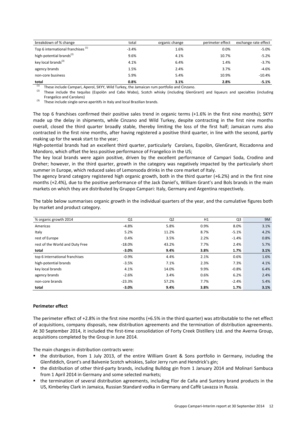| breakdown of % change                         | total   | organic change | perimeter effect | exchange rate effect |
|-----------------------------------------------|---------|----------------|------------------|----------------------|
| Top 6 international franchises <sup>(1)</sup> | $-3.4%$ | 1.6%           | 0.0%             | $-5.0%$              |
| high-potential brands <sup>(2)</sup>          | 9.6%    | 4.1%           | 10.7%            | $-5.2%$              |
| key local brands <sup>(3)</sup>               | 4.1%    | 6.4%           | 1.4%             | $-3.7%$              |
| agency brands                                 | 1.5%    | 2.4%           | 3.7%             | $-4.6%$              |
| non-core business                             | 5.9%    | 5.4%           | 10.9%            | $-10.4%$             |
| total                                         | 0.8%    | 3.1%           | 2.8%             | $-5.1%$              |

(1) These include Campari, Aperol, SKYY, Wild Turkey, the Jamaican rum portfolio and Cinzano.

These include the tequilas (Espolòn and Cabo Wabo), Scotch whisky (including GlenGrant) and liqueurs and specialties (including Frangelico and Carolans)

 $(3)$  These include single-serve aperitifs in Italy and local Brazilian brands.

The top 6 franchises confirmed their positive sales trend in organic terms (+1.6% in the first nine months); SKYY made up the delay in shipments, while Cinzano and Wild Turkey, despite contracting in the first nine months overall, closed the third quarter broadly stable, thereby limiting the loss of the first half; Jamaican rums also contracted in the first nine months, after having registered a positive third quarter, in line with the second, partly making up for the weak start to the year;

High-potential brands had an excellent third quarter, particularly Carolans, Espolòn, GlenGrant, Riccadonna and Mondoro, which offset the less positive performance of Frangelico in the US;

The key local brands were again positive, driven by the excellent performance of Campari Soda, Crodino and Dreher; however, in the third quarter, growth in the category was negatively impacted by the particularly short summer in Europe, which reduced sales of Lemonsoda drinks in the core market of Italy.

The agency brand category registered high organic growth, both in the third quarter (+6.2%) and in the first nine months (+2.4%), due to the positive performance of the Jack Daniel's, William Grant's and Bols brands in the main markets on which they are distributed by Gruppo Campari: Italy, Germany and Argentina respectively.

| % organic growth 2014           | Q1        | Q <sub>2</sub> | H1   | Q3      | 9M   |
|---------------------------------|-----------|----------------|------|---------|------|
| Americas                        | $-4.8%$   | 5.8%           | 0.9% | 8.0%    | 3.1% |
| Italy                           | 5.2%      | 11.2%          | 8.7% | $-5.1%$ | 4.2% |
| rest of Europe                  | 0.4%      | 3.5%           | 2.2% | $-1.4%$ | 0.8% |
| rest of the World and Duty Free | $-18.0\%$ | 43.2%          | 7.7% | 2.4%    | 5.7% |
| total                           | $-3.0%$   | 9.4%           | 3.8% | 1.7%    | 3.1% |
| top 6 international franchises  | $-0.9%$   | 4.4%           | 2.1% | 0.6%    | 1.6% |
| high-potential brands           | $-3.5%$   | 7.1%           | 2.3% | 7.3%    | 4.1% |
| key local brands                | 4.1%      | 14.0%          | 9.9% | $-0.8%$ | 6.4% |
| agency brands                   | $-2.6%$   | 3.4%           | 0.6% | 6.2%    | 2.4% |
| non-core brands                 | $-23.3%$  | 57.2%          | 7.7% | $-2.4%$ | 5.4% |
| total                           | $-3.0%$   | 9.4%           | 3.8% | 1.7%    | 3.1% |

The table below summarises organic growth in the individual quarters of the year, and the cumulative figures both by market and product category.

#### **Perimeter effect**

The perimeter effect of +2.8% in the first nine months (+6.5% in the third quarter) was attributable to the net effect of acquisitions, company disposals, new distribution agreements and the termination of distribution agreements. At 30 September 2014, it included the first-time consolidation of Forty Creek Distillery Ltd. and the Averna Group, acquisitions completed by the Group in June 2014.

The main changes in distribution contracts were:

- the distribution, from 1 July 2013, of the entire William Grant & Sons portfolio in Germany, including the Glenfiddich, Grant's and Balvenie Scotch whiskies, Sailor Jerry rum and Hendrick's gin;
- the distribution of other third-party brands, including Bulldog gin from 1 January 2014 and Molinari Sambuca from 1 April 2014 in Germany and some selected markets;
- the termination of several distribution agreements, including Flor de Caña and Suntory brand products in the US, Kimberley Clark in Jamaica, Russian Standard vodka in Germany and Caffè Lavazza in Russia.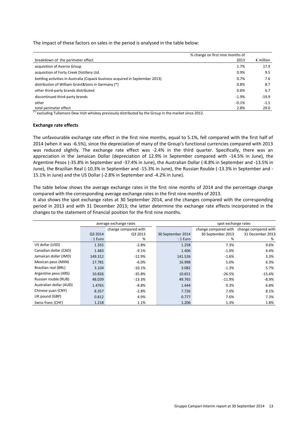The impact of these factors on sales in the period is analysed in the table below:

|                                                                                  | % change on first nine months of |                    |
|----------------------------------------------------------------------------------|----------------------------------|--------------------|
| breakdown of the perimeter effect                                                | 2013                             | $\epsilon$ million |
| acquisition of Averna Group                                                      | 1.7%                             | 17.9               |
| acquisition of Forty Creek Distillery Ltd.                                       | 0.9%                             | 9.5                |
| bottling activities in Australia (Copack business acquired in September 2013)    | 0.7%                             | 7.6                |
| distribution of William Grant&Sons in Germany (*)                                | 0.8%                             | 8.7                |
| other third-party brands distributed                                             | 0.6%                             | 6.7                |
| discontinued third-party brands                                                  | $-1.9%$                          | $-19.9$            |
| other                                                                            | $-0.1%$                          | $-1.5$             |
| total perimeter effect<br>$^{\prime\prime}$<br>.<br>$\cdot$ $\cdot$ $\cdot$<br>. | 2.8%<br>----                     | 29.0               |

<sup>(\*)</sup> excluding Tullamore Dew Irish whiskey previously distributed by the Group in the market since 2012.

#### **Exchange rate effects**

The unfavourable exchange rate effect in the first nine months, equal to 5.1%, fell compared with the first half of 2014 (when it was -6.5%), since the depreciation of many of the Group's functional currencies compared with 2013 was reduced slightly. The exchange rate effect was -2.4% in the third quarter. Specifically, there was an appreciation in the Jamaican Dollar (depreciation of 12.9% in September compared with -14.5% in June), the Argentine Pesos (-35.8% in September and -37.4% in June), the Australian Dollar (-8.8% in September and -13.5% in June), the Brazilian Real (-10.3% in September and -15.3% in June), the Russian Rouble (-13.3% in September and - 15.1% in June) and the US Dollar (-2.8% in September and -4.2% in June).

The table below shows the average exchange rates in the first nine months of 2014 and the percentage change compared with the corresponding average exchange rates in the first nine months of 2013.

It also shows the spot exchange rates at 30 September 2014, and the changes compared with the corresponding period in 2013 and with 31 December 2013; the latter determine the exchange rate effects incorporated in the changes to the statement of financial position for the first nine months.

|                         |            | average exchange rates | spot exchange rates |                                           |                  |
|-------------------------|------------|------------------------|---------------------|-------------------------------------------|------------------|
|                         |            | change compared with   |                     | change compared with change compared with |                  |
|                         | Q3 2014    | Q3 2013                | 30 September 2014   | 30 September 2013                         | 31 December 2013 |
|                         | $: 1$ Euro | %                      | $: 1$ Euro          | %                                         | %                |
| US dollar (USD)         | 1.355      | $-2.8%$                | 1.258               | 7.3%                                      | 9.6%             |
| Canadian dollar (CAD)   | 1.483      | $-9.1%$                | 1.406               | $-1.0%$                                   | 4.4%             |
| Jamaican dollar (JMD)   | 149.312    | $-12.9%$               | 141.526             | $-1.6%$                                   | 3.3%             |
| Mexican peso (MXN)      | 17.781     | $-6.0%$                | 16.998              | 5.0%                                      | 6.3%             |
| Brazilian real (BRL)    | 3.104      | $-10.1\%$              | 3.082               | $-1.3%$                                   | 5.7%             |
| Argentine peso (ARS)    | 10.826     | $-35.8%$               | 10.651              | $-26.5%$                                  | $-15.6%$         |
| Russian rouble (RUB)    | 48.039     | $-13.3%$               | 49.765              | $-11.9%$                                  | $-8.9%$          |
| Australian dollar (AUD) | 1.4765     | $-8.8%$                | 1.444               | 0.3%                                      | 6.8%             |
| Chinese yuan (CNY)      | 8.357      | $-2.8%$                | 7.726               | 7.0%                                      | 8.1%             |
| UK pound (GBP)          | 0.812      | 4.9%                   | 0.777               | 7.6%                                      | 7.3%             |
| Swiss franc (CHF)       | 1.218      | 1.1%                   | 1.206               | 1.3%                                      | 1.8%             |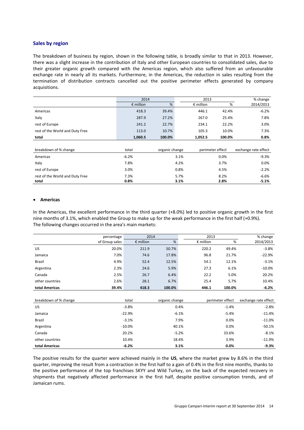#### **Sales by region**

The breakdown of business by region, shown in the following table, is broadly similar to that in 2013. However, there was a slight increase in the contribution of Italy and other European countries to consolidated sales, due to their greater organic growth compared with the Americas region, which also suffered from an unfavourable exchange rate in nearly all its markets. Furthermore, in the Americas, the reduction in sales resulting from the termination of distribution contracts cancelled out the positive perimeter effects generated by company acquisitions.

|                                 | 2014               |                | 2013 |                    |                  | % change             |
|---------------------------------|--------------------|----------------|------|--------------------|------------------|----------------------|
|                                 | $\epsilon$ million | %              |      | $\epsilon$ million | %                | 2014/2013            |
| Americas                        | 418.3              | 39.4%          |      | 446.1              | 42.4%            | $-6.2%$              |
| Italy                           | 287.9              | 27.2%          |      | 267.0              | 25.4%            | 7.8%                 |
| rest of Europe                  | 241.2              | 22.7%          |      | 234.1              | 22.2%            | 3.0%                 |
| rest of the World and Duty Free | 113.0              | 10.7%          |      | 105.3              | 10.0%            | 7.3%                 |
| total                           | 1,060.5            | 100.0%         |      | 1,052.5            | 100.0%           | 0.8%                 |
|                                 |                    |                |      |                    |                  |                      |
| breakdown of % change           | total              | organic change |      |                    | perimeter effect | exchange rate effect |
| Americas                        | $-6.2%$            |                | 3.1% |                    | 0.0%             | $-9.3%$              |
| Italy                           | 7.8%               |                | 4.2% |                    | 3.7%             | 0.0%                 |
| rest of Europe                  | 3.0%               |                | 0.8% |                    | 4.5%             | $-2.2%$              |
| rest of the World and Duty Free | 7.3%               |                | 5.7% |                    | 8.2%             | $-6.6%$              |
| total                           | 0.8%               |                | 3.1% |                    | 2.8%             | $-5.1%$              |

#### **Americas**

In the Americas, the excellent performance in the third quarter (+8.0%) led to positive organic growth in the first nine months of 3.1%, which enabled the Group to make up for the weak performance in the first half (+0.9%). The following changes occurred in the area's main markets:

|                       | percentage     | 2014               |                | 2013               |                  | % change             |
|-----------------------|----------------|--------------------|----------------|--------------------|------------------|----------------------|
|                       | of Group sales | $\epsilon$ million | %              | $\epsilon$ million | %                | 2014/2013            |
| US                    | 20.0%          | 211.9              | 50.7%          | 220.2              | 49.4%            | $-3.8%$              |
| Jamaica               | 7.0%           | 74.6               | 17.8%          | 96.8               | 21.7%            | $-22.9%$             |
| <b>Brazil</b>         | 4.9%           | 52.4               | 12.5%          | 54.1               | 12.1%            | $-3.1%$              |
| Argentina             | 2.3%           | 24.6               | 5.9%           | 27.3               | 6.1%             | $-10.0%$             |
| Canada                | 2.5%           | 26.7               | 6.4%           | 22.2               | 5.0%             | 20.2%                |
| other countries       | 2.6%           | 28.1               | 6.7%           | 25.4               | 5.7%             | 10.4%                |
| total Americas        | 39.4%          | 418.3              | 100.0%         | 446.1              | 100.0%           | $-6.2%$              |
|                       |                |                    |                |                    |                  |                      |
| breakdown of % change |                | total              | organic change |                    | perimeter effect | exchange rate effect |
| US                    |                | $-3.8%$            |                | 0.4%               | $-1.4%$          | $-2.8%$              |
| Jamaica               |                | $-22.9%$           |                | $-6.1%$            | $-5.4%$          | $-11.4%$             |
| <b>Brazil</b>         |                | $-3.1%$            |                | 7.9%               | 0.0%             | $-11.0%$             |
| Argentina             |                | $-10.0%$           |                | 40.1%              | 0.0%             | $-50.1%$             |
| Canada                |                | 20.2%              |                | $-5.2%$            | 33.6%            | $-8.1%$              |
| other countries       |                | 10.4%              |                | 18.4%              | 3.9%             | $-11.9%$             |
| total Americas        |                | $-6.2%$            |                | 3.1%               | 0.0%             | $-9.3%$              |

The positive results for the quarter were achieved mainly in the **US**, where the market grew by 8.6% in the third quarter, improving the result from a contraction in the first half to a gain of 0.4% in the first nine months, thanks to the positive performance of the top franchises SKYY and Wild Turkey, on the back of the expected recovery in shipments that negatively affected performance in the first half, despite positive consumption trends, and of Jamaican rums.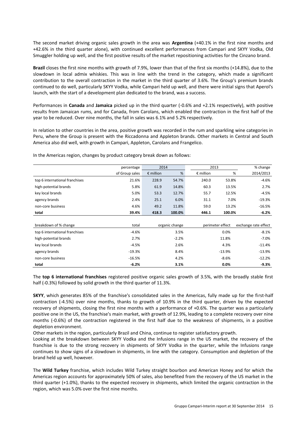The second market driving organic sales growth in the area was **Argentina** (+40.1% in the first nine months and +42.6% in the third quarter alone), with continued excellent performances from Campari and SKYY Vodka, Old Smuggler holding up well, and the first positive results of the market repositioning activities for the Cinzano brand.

**Brazil** closes the first nine months with growth of 7.9%, lower than that of the first six months (+14.8%), due to the slowdown in local admix whiskies. This was in line with the trend in the category, which made a significant contribution to the overall contraction in the market in the third quarter of 3.6%. The Group's premium brands continued to do well, particularly SKYY Vodka, while Campari held up well, and there were initial signs that Aperol's launch, with the start of a development plan dedicated to the brand, was a success.

Performances in **Canada** and **Jamaica** picked up in the third quarter (-0.6% and +2.1% respectively), with positive results from Jamaican rums, and for Canada, from Carolans, which enabled the contraction in the first half of the year to be reduced. Over nine months, the fall in sales was 6.1% and 5.2% respectively.

In relation to other countries in the area, positive growth was recorded in the rum and sparkling wine categories in Peru, where the Group is present with the Riccadonna and Appleton brands. Other markets in Central and South America also did well, with growth in Campari, Appleton, Carolans and Frangelico.

|                                | percentage     | 2014               |                | 2013               |                  | % change             |
|--------------------------------|----------------|--------------------|----------------|--------------------|------------------|----------------------|
|                                | of Group sales | $\epsilon$ million | %              | $\epsilon$ million | %                | 2014/2013            |
| top 6 international franchises | 21.6%          | 228.9              | 54.7%          | 240.0              | 53.8%            | $-4.6%$              |
| high-potential brands          | 5.8%           | 61.9               | 14.8%          | 60.3               | 13.5%            | 2.7%                 |
| key local brands               | 5.0%           | 53.3               | 12.7%          | 55.7               | 12.5%            | $-4.5%$              |
| agency brands                  | 2.4%           | 25.1               | 6.0%           | 31.1               | 7.0%             | $-19.3%$             |
| non-core business              | 4.6%           | 49.2               | 11.8%          | 59.0               | 13.2%            | $-16.5%$             |
| total                          | 39.4%          | 418.3              | 100.0%         | 446.1              | 100.0%           | $-6.2%$              |
|                                |                |                    |                |                    |                  |                      |
| breakdown of % change          | total          |                    | organic change |                    | perimeter effect | exchange rate effect |
| top 6 international franchises | $-4.6%$        |                    | 3.5%           |                    | 0.0%             | $-8.1%$              |
| high-potential brands          | 2.7%           |                    | $-2.2%$        |                    | 11.8%            | $-7.0%$              |
| key local brands               | $-4.5%$        |                    | 2.6%           |                    | 4.3%             | $-11.4%$             |
| agency brands                  | $-19.3%$       |                    | 8.4%           |                    | $-13.9%$         | $-13.9%$             |
| non-core business              | $-16.5%$       |                    | 4.2%           |                    | $-8.6%$          | $-12.2%$             |
| total                          | $-6.2%$        |                    | 3.1%           |                    | 0.0%             | $-9.3%$              |

In the Americas region, changes by product category break down as follows:

The **top 6 international franchises** registered positive organic sales growth of 3.5%, with the broadly stable first half (-0.3%) followed by solid growth in the third quarter of 11.3%.

**SKYY**, which generates 85% of the franchise's consolidated sales in the Americas, fully made up for the first-half contraction (-4.5%) over nine months, thanks to growth of 10.9% in the third quarter, driven by the expected recovery of shipments, closing the first nine months with a performance of +0.6%. The quarter was a particularly positive one in the US, the franchise's main market, with growth of 12.9%, leading to a complete recovery over nine months (-0.6%) of the contraction registered in the first half due to the weakness of shipments, in a positive depletion environment.

Other markets in the region, particularly Brazil and China, continue to register satisfactory growth.

Looking at the breakdown between SKYY Vodka and the Infusions range in the US market, the recovery of the franchise is due to the strong recovery in shipments of SKYY Vodka in the quarter, while the Infusions range continues to show signs of a slowdown in shipments, in line with the category. Consumption and depletion of the brand held up well, however.

The **Wild Turkey** franchise, which includes Wild Turkey straight bourbon and American Honey and for which the Americas region accounts for approximately 50% of sales, also benefited from the recovery of the US market in the third quarter (+1.0%), thanks to the expected recovery in shipments, which limited the organic contraction in the region, which was 5.0% over the first nine months.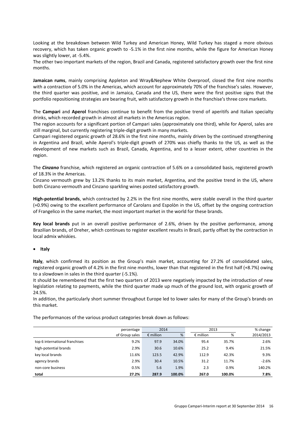Looking at the breakdown between Wild Turkey and American Honey, Wild Turkey has staged a more obvious recovery, which has taken organic growth to -5.1% in the first nine months, while the figure for American Honey was slightly lower, at -5.4%.

The other two important markets of the region, Brazil and Canada, registered satisfactory growth over the first nine months.

**Jamaican rums**, mainly comprising Appleton and Wray&Nephew White Overproof, closed the first nine months with a contraction of 5.0% in the Americas, which account for approximately 70% of the franchise's sales. However, the third quarter was positive, and in Jamaica, Canada and the US, there were the first positive signs that the portfolio repositioning strategies are bearing fruit, with satisfactory growth in the franchise's three core markets.

The **Campari** and **Aperol** franchises continue to benefit from the positive trend of aperitifs and Italian specialty drinks, which recorded growth in almost all markets in the Americas region.

The region accounts for a significant portion of Campari sales (approximately one third), while for Aperol, sales are still marginal, but currently registering triple-digit growth in many markets.

Campari registered organic growth of 28.6% in the first nine months, mainly driven by the continued strengthening in Argentina and Brazil, while Aperol's triple-digit growth of 270% was chiefly thanks to the US, as well as the development of new markets such as Brazil, Canada, Argentina, and to a lesser extent, other countries in the region.

The *Cinzano* franchise, which registered an organic contraction of 5.6% on a consolidated basis, registered growth of 18.3% in the Americas.

Cinzano vermouth grew by 13.2% thanks to its main market, Argentina, and the positive trend in the US, where both Cinzano vermouth and Cinzano sparkling wines posted satisfactory growth.

**High-potential brands**, which contracted by 2.2% in the first nine months, were stable overall in the third quarter (+0.9%) owing to the excellent performance of Carolans and Espolòn in the US, offset by the ongoing contraction of Frangelico in the same market, the most important market in the world for these brands.

**Key local brands** put in an overall positive performance of 2.6%, driven by the positive performance, among Brazilian brands, of Dreher, which continues to register excellent results in Brazil, partly offset by the contraction in local admix whiskies.

#### **•** Italy

**Italy**, which confirmed its position as the Group's main market, accounting for 27.2% of consolidated sales, registered organic growth of 4.2% in the first nine months, lower than that registered in the first half (+8.7%) owing to a slowdown in sales in the third quarter (-5.1%).

It should be remembered that the first two quarters of 2013 were negatively impacted by the introduction of new legislation relating to payments, while the third quarter made up much of the ground lost, with organic growth of 24.5%.

In addition, the particularly short summer throughout Europe led to lower sales for many of the Group's brands on this market.

The performances of the various product categories break down as follows:

|                                | percentage     | 2014               |        | 2013               |        | % change  |
|--------------------------------|----------------|--------------------|--------|--------------------|--------|-----------|
|                                | of Group sales | $\epsilon$ million | %      | $\epsilon$ million | %      | 2014/2013 |
| top 6 international franchises | 9.2%           | 97.9               | 34.0%  | 95.4               | 35.7%  | 2.6%      |
| high-potential brands          | 2.9%           | 30.6               | 10.6%  | 25.2               | 9.4%   | 21.5%     |
| key local brands               | 11.6%          | 123.5              | 42.9%  | 112.9              | 42.3%  | 9.3%      |
| agency brands                  | 2.9%           | 30.4               | 10.5%  | 31.2               | 11.7%  | $-2.6%$   |
| non-core business              | 0.5%           | 5.6                | 1.9%   | 2.3                | 0.9%   | 140.2%    |
| total                          | 27.2%          | 287.9              | 100.0% | 267.0              | 100.0% | 7.8%      |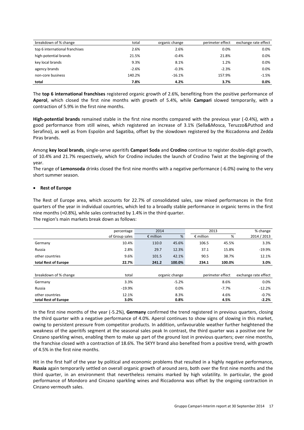| breakdown of % change          | total   | organic change | perimeter effect | exchange rate effect |
|--------------------------------|---------|----------------|------------------|----------------------|
| top 6 international franchises | 2.6%    | 2.6%           | 0.0%             | 0.0%                 |
| high-potential brands          | 21.5%   | $-0.4%$        | 21.8%            | 0.0%                 |
| key local brands               | 9.3%    | 8.1%           | 1.2%             | 0.0%                 |
| agency brands                  | $-2.6%$ | $-0.3%$        | $-2.3%$          | 0.0%                 |
| non-core business              | 140.2%  | $-16.1%$       | 157.9%           | $-1.5%$              |
| total                          | 7.8%    | 4.2%           | 3.7%             | 0.0%                 |

The **top 6 international franchises** registered organic growth of 2.6%, benefiting from the positive performance of **Aperol**, which closed the first nine months with growth of 5.4%, while **Campari** slowed temporarily, with a contraction of 5.9% in the first nine months.

**High-potential brands** remained stable in the first nine months compared with the previous year (-0.4%), with a good performance from still wines, which registered an increase of 3.1% (Sella&Mosca, Teruzzo&Puthod and Serafino), as well as from Espolòn and Sagatiba, offset by the slowdown registered by the Riccadonna and Zedda Piras brands.

Among **key local brands**, single-serve aperitifs **Campari Soda** and **Crodino** continue to register double-digit growth, of 10.4% and 21.7% respectively, which for Crodino includes the launch of Crodino Twist at the beginning of the year.

The range of **Lemonsoda** drinks closed the first nine months with a negative performance (-6.0%) owing to the very short summer season.

#### **Rest of Europe**

The Rest of Europe area, which accounts for 22.7% of consolidated sales, saw mixed performances in the first quarters of the year in individual countries, which led to a broadly stable performance in organic terms in the first nine months (+0.8%), while sales contracted by 1.4% in the third quarter. The region's main markets break down as follows:

|                       | percentage     | 2014               |                |                    | 2013             | % change             |
|-----------------------|----------------|--------------------|----------------|--------------------|------------------|----------------------|
|                       | of Group sales | $\epsilon$ million | %              | $\epsilon$ million | %                | 2014 / 2013          |
| Germany               | 10.4%          | 110.0              | 45.6%          | 106.5              | 45.5%            | 3.3%                 |
| Russia                | 2.8%           | 29.7               | 12.3%          | 37.1               | 15.8%            | $-19.9%$             |
| other countries       | 9.6%           | 101.5              | 42.1%          | 90.5               | 38.7%            | 12.1%                |
| total Rest of Europe  | 22.7%          | 241.2              | 100.0%         | 234.1              | 100.0%           | 3.0%                 |
|                       |                |                    |                |                    |                  |                      |
| breakdown of % change | total          |                    | organic change |                    | perimeter effect | exchange rate effect |
| Germany               | 3.3%           |                    | $-5.2%$        |                    | 8.6%             | 0.0%                 |
| Russia                | $-19.9%$       |                    | 0.0%           |                    | $-7.7%$          | $-12.2%$             |
| other countries       | 12.1%          |                    | 8.3%           |                    | 4.6%             | $-0.7%$              |
| total Rest of Europe  | 3.0%           |                    | 0.8%           |                    | 4.5%             | $-2.2%$              |

In the first nine months of the year (-5.2%), **Germany** confirmed the trend registered in previous quarters, closing the third quarter with a negative performance of 4.0%. Aperol continues to show signs of slowing in this market, owing to persistent pressure from competitor products. In addition, unfavourable weather further heightened the weakness of the aperitifs segment at the seasonal sales peak In contrast, the third quarter was a positive one for Cinzano sparkling wines, enabling them to make up part of the ground lost in previous quarters; over nine months, the franchise closed with a contraction of 18.6%. The SKYY brand also benefited from a positive trend, with growth of 4.5% in the first nine months.

Hit in the first half of the year by political and economic problems that resulted in a highly negative performance, **Russia** again temporarily settled on overall organic growth of around zero, both over the first nine months and the third quarter, in an environment that nevertheless remains marked by high volatility. In particular, the good performance of Mondoro and Cinzano sparkling wines and Riccadonna was offset by the ongoing contraction in Cinzano vermouth sales.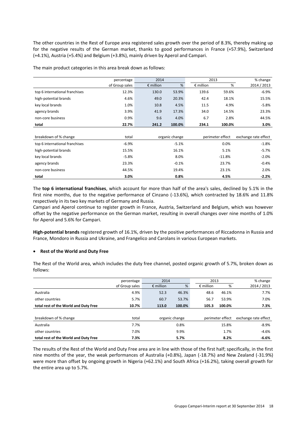The other countries in the Rest of Europe area registered sales growth over the period of 8.3%, thereby making up for the negative results of the German market, thanks to good performances in France (+57.9%), Switzerland (+4.1%), Austria (+5.4%) and Belgium (+3.8%), mainly driven by Aperol and Campari.

The main product categories in this area break down as follows:

|                                | percentage     | 2014               |                |                    | 2013             | % change             |
|--------------------------------|----------------|--------------------|----------------|--------------------|------------------|----------------------|
|                                | of Group sales | $\epsilon$ million | %              | $\epsilon$ million | %                | 2014 / 2013          |
| top 6 international franchises | 12.3%          | 130.0              | 53.9%          | 139.6              | 59.6%            | $-6.9%$              |
| high-potential brands          | 4.6%           | 49.0               | 20.3%          | 42.4               | 18.1%            | 15.5%                |
| key local brands               | 1.0%           | 10.8               | 4.5%           | 11.5               | 4.9%             | $-5.8%$              |
| agency brands                  | 3.9%           | 41.9               | 17.3%          | 34.0               | 14.5%            | 23.3%                |
| non-core business              | 0.9%           | 9.6                | 4.0%           | 6.7                | 2.8%             | 44.5%                |
| total                          | 22.7%          | 241.2              | 100.0%         | 234.1              | 100.0%           | 3.0%                 |
|                                |                |                    |                |                    |                  |                      |
| breakdown of % change          | total          |                    | organic change |                    | perimeter effect | exchange rate effect |
| top 6 international franchises | $-6.9%$        |                    | $-5.1%$        |                    | 0.0%             | $-1.8%$              |
| high-potential brands          | 15.5%          |                    | 16.1%          |                    | 5.1%             | $-5.7%$              |
| key local brands               | $-5.8%$        |                    | 8.0%           |                    | $-11.8%$         | $-2.0%$              |
| agency brands                  | 23.3%          |                    | $-0.1%$        |                    | 23.7%            | $-0.4%$              |
| non-core business              | 44.5%          |                    | 19.4%          |                    | 23.1%            | 2.0%                 |
| total                          | 3.0%           |                    | 0.8%           |                    | 4.5%             | $-2.2%$              |

The **top 6 international franchises**, which account for more than half of the area's sales, declined by 5.1% in the first nine months, due to the negative performance of Cinzano (-13.6%), which contracted by 18.6% and 11.8% respectively in its two key markets of Germany and Russia.

Campari and Aperol continue to register growth in France, Austria, Switzerland and Belgium, which was however offset by the negative performance on the German market, resulting in overall changes over nine months of 1.0% for Aperol and 5.6% for Campari.

**High-potential brands** registered growth of 16.1%, driven by the positive performances of Riccadonna in Russia and France, Mondoro in Russia and Ukraine, and Frangelico and Carolans in various European markets.

#### **Rest of the World and Duty Free**

The Rest of the World area, which includes the duty free channel, posted organic growth of 5.7%, broken down as follows:

|                                       | percentage     | 2014               |                | 2013               |                  | % change             |       |         |
|---------------------------------------|----------------|--------------------|----------------|--------------------|------------------|----------------------|-------|---------|
|                                       | of Group sales | $\epsilon$ million | %              | $\epsilon$ million | %                | 2014 / 2013          |       |         |
| Australia                             | 4.9%           | 52.3               | 46.3%          | 48.6               | 46.1%            | 7.7%                 |       |         |
| other countries                       | 5.7%           | 60.7               | 53.7%          | 56.7               | 53.9%            | 7.0%                 |       |         |
| total rest of the World and Duty Free | 10.7%          | 113.0              | 100.0%         | 105.3              | 100.0%           | 7.3%                 |       |         |
|                                       |                |                    |                |                    |                  |                      |       |         |
| breakdown of % change                 | total          |                    | organic change |                    | perimeter effect | exchange rate effect |       |         |
| Australia                             | 7.7%           |                    | 0.8%           |                    |                  |                      | 15.8% | $-8.9%$ |
| other countries                       | 7.0%           |                    | 9.9%           |                    | 1.7%             | $-4.6%$              |       |         |
| total rest of the World and Duty Free | 7.3%           |                    | 5.7%           |                    | 8.2%             | $-6.6%$              |       |         |

The results of the Rest of the World and Duty Free area are in line with those of the first half; specifically, in the first nine months of the year, the weak performances of Australia (+0.8%), Japan (-18.7%) and New Zealand (-31.9%) were more than offset by ongoing growth in Nigeria (+62.1%) and South Africa (+16.2%), taking overall growth for the entire area up to 5.7%.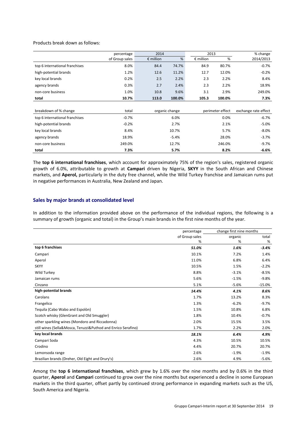#### Products break down as follows:

|                                | percentage     | 2014               |                |                    | 2013             | % change             |
|--------------------------------|----------------|--------------------|----------------|--------------------|------------------|----------------------|
|                                | of Group sales | $\epsilon$ million | %              | $\epsilon$ million | %                | 2014/2013            |
| top 6 international franchises | 8.0%           | 84.4               | 74.7%          | 84.9               | 80.7%            | $-0.7%$              |
| high-potential brands          | 1.2%           | 12.6               | 11.2%          | 12.7               | 12.0%            | $-0.2%$              |
| key local brands               | 0.2%           | 2.5                | 2.2%           | 2.3                | 2.2%             | 8.4%                 |
| agency brands                  | 0.3%           | 2.7                | 2.4%           | 2.3                | 2.2%             | 18.9%                |
| non-core business              | 1.0%           | 10.8               | 9.6%           | 3.1                | 2.9%             | 249.0%               |
| total                          | 10.7%          | 113.0              | 100.0%         | 105.3              | 100.0%           | 7.3%                 |
|                                |                |                    |                |                    |                  |                      |
| breakdown of % change          | total          |                    | organic change |                    | perimeter effect | exchange rate effect |
| top 6 international franchises | $-0.7%$        |                    | 6.0%           |                    | 0.0%             | $-6.7%$              |
| high-potential brands          | $-0.2%$        |                    | 2.7%           |                    | 2.1%             | $-5.0%$              |
| key local brands               | 8.4%           |                    | 10.7%          |                    | 5.7%             | $-8.0%$              |
| agency brands                  | 18.9%          |                    | $-5.4%$        |                    | 28.0%            | $-3.7%$              |
| non-core business              | 249.0%         |                    | 12.7%          |                    | 246.0%           | $-9.7%$              |
| total                          | 7.3%           |                    | 5.7%           |                    | 8.2%             | $-6.6%$              |

The **top 6 international franchises**, which account for approximately 75% of the region's sales, registered organic growth of 6.0%, attributable to growth at **Campari** driven by Nigeria, **SKYY** in the South African and Chinese markets, and **Aperol,** particularly in the duty free channel, while the Wild Turkey franchise and Jamaican rums put in negative performances in Australia, New Zealand and Japan.

#### **Sales by major brands at consolidated level**

In addition to the information provided above on the performance of the individual regions, the following is a summary of growth (organic and total) in the Group's main brands in the first nine months of the year.

|                                                               | percentage     | change first nine months |          |
|---------------------------------------------------------------|----------------|--------------------------|----------|
|                                                               | of Group sales | organic                  | total    |
|                                                               | %              | %                        | %        |
| top 6 franchises                                              | 51.0%          | 1.6%                     | $-3.4%$  |
| Campari                                                       | 10.1%          | 7.2%                     | 1.4%     |
| Aperol                                                        | 11.0%          | 6.8%                     | 6.4%     |
| <b>SKYY</b>                                                   | 10.5%          | 1.5%                     | $-2.2%$  |
| Wild Turkey                                                   | 8.8%           | $-3.1%$                  | $-8.5%$  |
| Jamaican rums                                                 | 5.6%           | $-1.5%$                  | $-9.8%$  |
| Cinzano                                                       | 5.1%           | $-5.6%$                  | $-15.0%$ |
| high-potential brands                                         | 14.4%          | 4.1%                     | 8.6%     |
| Carolans                                                      | 1.7%           | 13.2%                    | 8.3%     |
| Frangelico                                                    | 1.3%           | $-6.2%$                  | $-9.7%$  |
| Tequila (Cabo Wabo and Espolòn)                               | 1.5%           | 10.8%                    | 6.8%     |
| Scotch whisky (GlenGrant and Old Smuggler)                    | 1.8%           | 10.4%                    | $-0.7%$  |
| other sparkling wines (Mondoro and Riccadonna)                | 2.0%           | 15.5%                    | 3.5%     |
| still wines (Sella&Mosca, Teruzzi&Puthod and Enrico Serafino) | 1.7%           | 2.2%                     | 2.0%     |
| key local brands                                              | 18.1%          | 6.4%                     | 4.9%     |
| Campari Soda                                                  | 4.3%           | 10.5%                    | 10.5%    |
| Crodino                                                       | 4.4%           | 20.7%                    | 20.7%    |
| Lemonsoda range                                               | 2.6%           | $-1.9%$                  | $-1.9%$  |
| Brazilian brands (Dreher, Old Eight and Drury's)              | 2.6%           | 4.9%                     | $-5.6%$  |

Among the **top 6 international franchises**, which grew by 1.6% over the nine months and by 0.6% in the third quarter, **Aperol** and **Campari** continued to grow over the nine months but experienced a decline in some European markets in the third quarter, offset partly by continued strong performance in expanding markets such as the US, South America and Nigeria.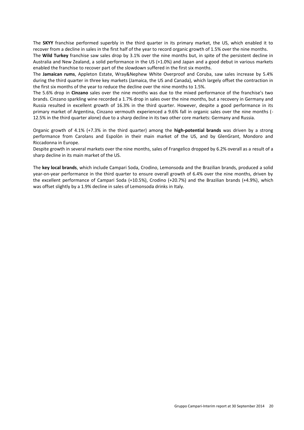The **SKYY** franchise performed superbly in the third quarter in its primary market, the US, which enabled it to recover from a decline in sales in the first half of the year to record organic growth of 1.5% over the nine months.

The **Wild Turkey** franchise saw sales drop by 3.1% over the nine months but, in spite of the persistent decline in Australia and New Zealand, a solid performance in the US (+1.0%) and Japan and a good debut in various markets enabled the franchise to recover part of the slowdown suffered in the first six months.

The **Jamaican rums**, Appleton Estate, Wray&Nephew White Overproof and Coruba, saw sales increase by 5.4% during the third quarter in three key markets (Jamaica, the US and Canada), which largely offset the contraction in the first six months of the year to reduce the decline over the nine months to 1.5%.

The 5.6% drop in **Cinzano** sales over the nine months was due to the mixed performance of the franchise's two brands. Cinzano sparkling wine recorded a 1.7% drop in sales over the nine months, but a recovery in Germany and Russia resulted in excellent growth of 16.3% in the third quarter. However, despite a good performance in its primary market of Argentina, Cinzano vermouth experienced a 9.6% fall in organic sales over the nine months (- 12.5% in the third quarter alone) due to a sharp decline in its two other core markets: Germany and Russia.

Organic growth of 4.1% (+7.3% in the third quarter) among the **high-potential brands** was driven by a strong performance from Carolans and Espolòn in their main market of the US, and by GlenGrant, Mondoro and Riccadonna in Europe.

Despite growth in several markets over the nine months, sales of Frangelico dropped by 6.2% overall as a result of a sharp decline in its main market of the US.

The **key local brands**, which include Campari Soda, Crodino, Lemonsoda and the Brazilian brands, produced a solid year-on-year performance in the third quarter to ensure overall growth of 6.4% over the nine months, driven by the excellent performance of Campari Soda (+10.5%), Crodino (+20.7%) and the Brazilian brands (+4.9%), which was offset slightly by a 1.9% decline in sales of Lemonsoda drinks in Italy.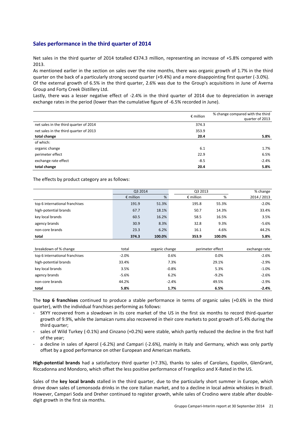# **Sales performance in the third quarter of 2014**

Net sales in the third quarter of 2014 totalled €374.3 million, representing an increase of +5.8% compared with 2013.

As mentioned earlier in the section on sales over the nine months, there was organic growth of 1.7% in the third quarter on the back of a particularly strong second quarter (+9.4%) and a more disappointing first quarter (-3.0%).

Of the external growth of 6.5% in the third quarter, 2.6% was due to the Group's acquisitions in June of Averna Group and Forty Creek Distillery Ltd.

Lastly, there was a lesser negative effect of -2.4% in the third quarter of 2014 due to depreciation in average exchange rates in the period (lower than the cumulative figure of -6.5% recorded in June).

|                                        | $\epsilon$ million | % change compared with the third |
|----------------------------------------|--------------------|----------------------------------|
|                                        |                    | quarter of 2013                  |
| net sales in the third quarter of 2014 | 374.3              |                                  |
| net sales in the third quarter of 2013 | 353.9              |                                  |
| total change                           | 20.4               | 5.8%                             |
| of which:                              |                    |                                  |
| organic change                         | 6.1                | 1.7%                             |
| perimeter effect                       | 22.9               | 6.5%                             |
| exchange rate effect                   | $-8.5$             | $-2.4%$                          |
| total change                           | 20.4               | 5.8%                             |

The effects by product category are as follows:

|                                | Q3 2014            |                | Q3 2013            |                  | % change      |
|--------------------------------|--------------------|----------------|--------------------|------------------|---------------|
|                                | $\epsilon$ million | %              | $\epsilon$ million | %                | 2014 / 2013   |
| top 6 international franchises | 191.9              | 51.3%          | 195.8              | 55.3%            | $-2.0%$       |
| high-potential brands          | 67.7               | 18.1%          | 50.7               | 14.3%            | 33.4%         |
| key local brands               | 60.5               | 16.2%          | 58.5               | 16.5%            | 3.5%          |
| agency brands                  | 30.9               | 8.3%           | 32.8               | 9.3%             | $-5.6%$       |
| non-core brands                | 23.3               | 6.2%           | 16.1               | 4.6%             | 44.2%         |
| total                          | 374.3              | 100.0%         | 353.9              | 100.0%           | 5.8%          |
|                                |                    |                |                    |                  |               |
| breakdown of % change          | total              | organic change |                    | perimeter effect | exchange rate |
| top 6 international franchises | $-2.0%$            |                | 0.6%               | 0.0%             | $-2.6%$       |
| high-potential brands          | 33.4%              |                | 7.3%               | 29.1%            | $-2.9%$       |
| key local brands               | 3.5%               |                | $-0.8%$            | 5.3%             | $-1.0%$       |
| agency brands                  | $-5.6%$            |                | 6.2%               | $-9.2%$          | $-2.6%$       |
| non-core brands                | 44.2%              |                | $-2.4%$            | 49.5%            | $-2.9%$       |
| total                          | 5.8%               |                | 1.7%               | 6.5%             | $-2.4%$       |

The **top 6 franchises** continued to produce a stable performance in terms of organic sales (+0.6% in the third quarter), with the individual franchises performing as follows:

- SKYY recovered from a slowdown in its core market of the US in the first six months to record third-quarter growth of 9.9%, while the Jamaican rums also recovered in their core markets to post growth of 5.4% during the third quarter;
- sales of Wild Turkey (-0.1%) and Cinzano (+0.2%) were stable, which partly reduced the decline in the first half of the year;
- a decline in sales of Aperol (-6.2%) and Campari (-2.6%), mainly in Italy and Germany, which was only partly offset by a good performance on other European and American markets.

**High-potential brands** had a satisfactory third quarter (+7.3%), thanks to sales of Carolans, Espolòn, GlenGrant, Riccadonna and Mondoro, which offset the less positive performance of Frangelico and X-Rated in the US.

Sales of the **key local brands** stalled in the third quarter, due to the particularly short summer in Europe, which drove down sales of Lemonsoda drinks in the core Italian market, and to a decline in local admix whiskies in Brazil. However, Campari Soda and Dreher continued to register growth, while sales of Crodino were stable after doubledigit growth in the first six months.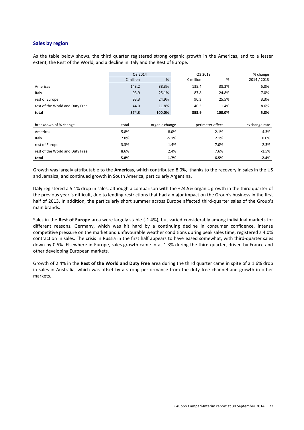#### **Sales by region**

As the table below shows, the third quarter registered strong organic growth in the Americas, and to a lesser extent, the Rest of the World, and a decline in Italy and the Rest of Europe.

|                                 | Q3 2014            |                | Q3 2013            | % change         |               |
|---------------------------------|--------------------|----------------|--------------------|------------------|---------------|
|                                 | $\epsilon$ million | %              | $\epsilon$ million | %                | 2014 / 2013   |
| Americas                        | 143.2              | 38.3%          | 135.4              | 38.2%            | 5.8%          |
| Italy                           | 93.9               | 25.1%          | 87.8               | 24.8%            | 7.0%          |
| rest of Europe                  | 93.3               | 24.9%          | 90.3               | 25.5%            | 3.3%          |
| rest of the World and Duty Free | 44.0               | 11.8%          | 40.5               | 11.4%            | 8.6%          |
| total                           | 374.3              | 100.0%         | 353.9              | 100.0%           | 5.8%          |
|                                 |                    |                |                    |                  |               |
| breakdown of % change           | total              | organic change |                    | perimeter effect | exchange rate |
| Americas                        | 5.8%               |                | 8.0%               | 2.1%             | $-4.3%$       |
| Italy                           | 7.0%               |                | $-5.1%$            | 12.1%            | 0.0%          |
| rest of Europe                  | 3.3%               |                | $-1.4%$            | 7.0%             | $-2.3%$       |
| rest of the World and Duty Free | 8.6%               |                | 2.4%               | 7.6%             | $-1.5%$       |
| total                           | 5.8%               |                | 1.7%               | 6.5%             | $-2.4%$       |

Growth was largely attributable to the **Americas**, which contributed 8.0%, thanks to the recovery in sales in the US and Jamaica, and continued growth in South America, particularly Argentina.

**Italy** registered a 5.1% drop in sales, although a comparison with the +24.5% organic growth in the third quarter of the previous year is difficult, due to lending restrictions that had a major impact on the Group's business in the first half of 2013. In addition, the particularly short summer across Europe affected third-quarter sales of the Group's main brands.

Sales in the **Rest of Europe** area were largely stable (-1.4%), but varied considerably among individual markets for different reasons. Germany, which was hit hard by a continuing decline in consumer confidence, intense competitive pressure on the market and unfavourable weather conditions during peak sales time, registered a 4.0% contraction in sales. The crisis in Russia in the first half appears to have eased somewhat, with third-quarter sales down by 0.5%. Elsewhere in Europe, sales growth came in at 1.3% during the third quarter, driven by France and other developing European markets.

Growth of 2.4% in the **Rest of the World and Duty Free** area during the third quarter came in spite of a 1.6% drop in sales in Australia, which was offset by a strong performance from the duty free channel and growth in other markets.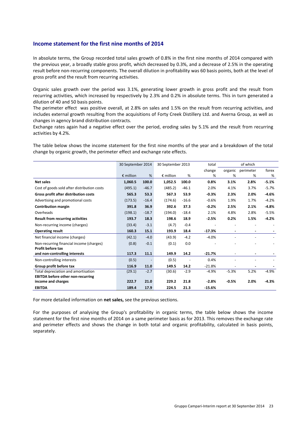### **Income statement for the first nine months of 2014**

In absolute terms, the Group recorded total sales growth of 0.8% in the first nine months of 2014 compared with the previous year, a broadly stable gross profit, which decreased by 0.3%, and a decrease of 2.5% in the operating result before non-recurring components. The overall dilution in profitability was 60 basis points, both at the level of gross profit and the result from recurring activities.

Organic sales growth over the period was 3.1%, generating lower growth in gross profit and the result from recurring activities, which increased by respectively by 2.3% and 0.2% in absolute terms. This in turn generated a dilution of 40 and 50 basis points.

The perimeter effect was positive overall, at 2.8% on sales and 1.5% on the result from recurring activities, and includes external growth resulting from the acquisitions of Forty Creek Distillery Ltd. and Averna Group, as well as changes in agency brand distribution contracts.

Exchange rates again had a negative effect over the period, eroding sales by 5.1% and the result from recurring activities by 4.2%.

The table below shows the income statement for the first nine months of the year and a breakdown of the total change by organic growth, the perimeter effect and exchange rate effects.

|                                             | 30 September 2014  |         | 30 September 2013  |         | total    |         | of which  |         |
|---------------------------------------------|--------------------|---------|--------------------|---------|----------|---------|-----------|---------|
|                                             |                    |         |                    |         | change   | organic | perimeter | forex   |
|                                             | $\epsilon$ million | %       | $\epsilon$ million | %       | %        | %       | %         | %       |
| <b>Net sales</b>                            | 1,060.5            | 100.0   | 1,052.5            | 100.0   | 0.8%     | 3.1%    | 2.8%      | $-5.1%$ |
| Cost of goods sold after distribution costs | (495.1)            | $-46.7$ | (485.2)            | $-46.1$ | 2.0%     | 4.1%    | 3.7%      | $-5.7%$ |
| Gross profit after distribution costs       | 565.3              | 53.3    | 567.3              | 53.9    | $-0.3%$  | 2.3%    | 2.0%      | $-4.6%$ |
| Advertising and promotional costs           | (173.5)            | $-16.4$ | (174.6)            | $-16.6$ | $-0.6%$  | 1.9%    | 1.7%      | $-4.2%$ |
| <b>Contribution margin</b>                  | 391.8              | 36.9    | 392.6              | 37.3    | $-0.2%$  | 2.5%    | 2.1%      | $-4.8%$ |
| Overheads                                   | (198.1)            | $-18.7$ | (194.0)            | $-18.4$ | 2.1%     | 4.8%    | 2.8%      | $-5.5%$ |
| <b>Result from recurring activities</b>     | 193.7              | 18.3    | 198.6              | 18.9    | $-2.5%$  | 0.2%    | 1.5%      | $-4.2%$ |
| Non-recurring income (charges)              | (33.4)             | $-3.1$  | (4.7)              | $-0.4$  |          |         |           |         |
| <b>Operating result</b>                     | 160.3              | 15.1    | 193.9              | 18.4    | $-17.3%$ | -       |           |         |
| Net financial income (charges)              | (42.1)             | $-4.0$  | (43.9)             | $-4.2$  | $-4.0%$  |         |           |         |
| Non-recurring financial income (charges)    | (0.8)              | $-0.1$  | (0.1)              | 0.0     |          |         |           |         |
| Profit before tax                           |                    |         |                    |         |          |         |           |         |
| and non-controlling interests               | 117.3              | 11.1    | 149.9              | 14.2    | $-21.7%$ |         |           |         |
| Non-controlling interests                   | (0.5)              |         | (0.5)              |         | 0.4%     |         |           |         |
| Group profit before tax                     | 116.9              | 11.0    | 149.5              | 14.2    | $-21.8%$ |         |           |         |
| Total depreciation and amortisation         | (29.1)             | $-2.7$  | (30.6)             | $-2.9$  | $-4.9%$  | $-5.3%$ | 5.2%      | $-4.9%$ |
| <b>EBITDA before other non-recurring</b>    |                    |         |                    |         |          |         |           |         |
| income and charges                          | 222.7              | 21.0    | 229.2              | 21.8    | $-2.8%$  | $-0.5%$ | 2.0%      | $-4.3%$ |
| <b>EBITDA</b>                               | 189.4              | 17.9    | 224.5              | 21.3    | $-15.6%$ |         |           |         |

For more detailed information on **net sales,** see the previous sections.

For the purposes of analysing the Group's profitability in organic terms, the table below shows the income statement for the first nine months of 2014 on a same perimeter basis as for 2013. This removes the exchange rate and perimeter effects and shows the change in both total and organic profitability, calculated in basis points, separately.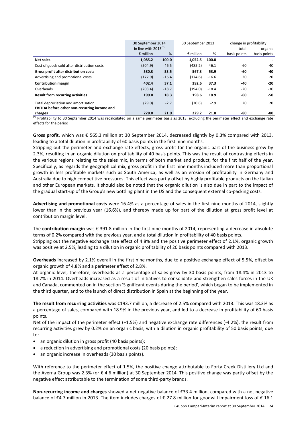|                                              | 30 September 2014         |         | 30 September 2013  |         | change in profitability |              |
|----------------------------------------------|---------------------------|---------|--------------------|---------|-------------------------|--------------|
|                                              | in line with $2013^{(*)}$ |         |                    |         |                         | organic      |
|                                              | $\epsilon$ million        | %       | $\epsilon$ million | %       | basis points            | basis points |
| <b>Net sales</b>                             | 1.085.2                   | 100.0   | 1.052.5            | 100.0   |                         |              |
| Cost of goods sold after distribution costs  | (504.9)                   | $-46.5$ | (485.2)            | $-46.1$ | -60                     | $-40$        |
| Gross profit after distribution costs        | 580.3                     | 53.5    | 567.3              | 53.9    | -60                     | -40          |
| Advertising and promotional costs            | (177.9)                   | $-16.4$ | (174.6)            | $-16.6$ | 20                      | 20           |
| <b>Contribution margin</b>                   | 402.4                     | 37.1    | 392.6              | 37.3    | -40                     | $-20$        |
| Overheads                                    | (203.4)                   | $-18.7$ | (194.0)            | $-18.4$ | $-20$                   | $-30$        |
| <b>Result from recurring activities</b>      | 199.0                     | 18.3    | 198.6              | 18.9    | -60                     | -50          |
| Total depreciation and amortisation          | (29.0)                    | $-2.7$  | (30.6)             | $-2.9$  | 20                      | 20           |
| EBITDA before other non-recurring income and |                           |         |                    |         |                         |              |
| charges                                      | 228.0                     | 21.0    | 229.2              | 21.8    | -80                     | -80          |

 $\overline{f}$  Profitability to 30 September 2014 was recalculated on a same perimeter basis as 2013, excluding the perimeter effect and exchange rate effects for the period

**Gross profit**, which was € 565.3 million at 30 September 2014, decreased slightly by 0.3% compared with 2013, leading to a total dilution in profitability of 60 basis points in the first nine months.

Stripping out the perimeter and exchange rate effects, gross profit for the organic part of the business grew by 2.3%, resulting in an organic dilution on profitability of 40 basis points. This was the result of contrasting effects in the various regions relating to the sales mix, in terms of both market and product, for the first half of the year. Specifically, as regards the geographical mix, gross profit in the first nine months included more than proportional growth in less profitable markets such as South America, as well as an erosion of profitability in Germany and Australia due to high competitive pressures. This effect was partly offset by highly profitable products on the Italian and other European markets. It should also be noted that the organic dilution is also due in part to the impact of the gradual start-up of the Group's new bottling plant in the US and the consequent external co-packing costs.

**Advertising and promotional costs** were 16.4% as a percentage of sales in the first nine months of 2014, slightly lower than in the previous year (16.6%), and thereby made up for part of the dilution at gross profit level at contribution margin level.

The **contribution margin** was € 391.8 million in the first nine months of 2014, representing a decrease in absolute terms of 0.2% compared with the previous year, and a total dilution in profitability of 40 basis points. Stripping out the negative exchange rate effect of 4.8% and the positive perimeter effect of 2.1%, organic growth was positive at 2.5%, leading to a dilution in organic profitability of 20 basis points compared with 2013.

**Overheads** increased by 2.1% overall in the first nine months, due to a positive exchange effect of 5.5%, offset by organic growth of 4.8% and a perimeter effect of 2.8%.

At organic level, therefore, overheads as a percentage of sales grew by 30 basis points, from 18.4% in 2013 to 18.7% in 2014. Overheads increased as a result of initiatives to consolidate and strengthen sales forces in the UK and Canada, commented on in the section 'Significant events during the period', which began to be implemented in the third quarter, and to the launch of direct distribution in Spain at the beginning of the year.

**The result from recurring activities** was €193.7 million, a decrease of 2.5% compared with 2013. This was 18.3% as a percentage of sales, compared with 18.9% in the previous year, and led to a decrease in profitability of 60 basis points.

Net of the impact of the perimeter effect (+1.5%) and negative exchange rate differences (-4.2%), the result from recurring activities grew by 0.2% on an organic basis, with a dilution in organic profitability of 50 basis points, due to:

- an organic dilution in gross profit (40 basis points);
- a reduction in advertising and promotional costs (20 basis points);
- an organic increase in overheads (30 basis points).

With reference to the perimeter effect of 1.5%, the positive change attributable to Forty Creek Distillery Ltd and the Averna Group was 2.3% (or € 4.6 million) at 30 September 2014. This positive change was partly offset by the negative effect attributable to the termination of some third-party brands.

**Non-recurring income and charges** showed a net negative balance of €33.4 million, compared with a net negative balance of €4.7 million in 2013. The item includes charges of € 27.8 million for goodwill impairment loss of € 16.1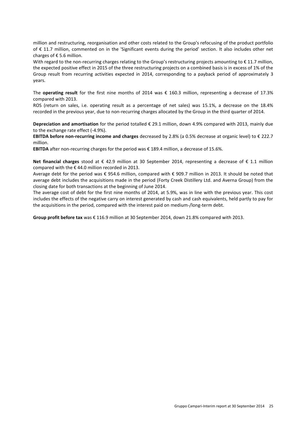million and restructuring, reorganisation and other costs related to the Group's refocusing of the product portfolio of € 11.7 million, commented on in the 'Significant events during the period' section. It also includes other net charges of € 5.6 million.

With regard to the non-recurring charges relating to the Group's restructuring projects amounting to €11.7 million, the expected positive effect in 2015 of the three restructuring projects on a combined basis is in excess of 1% of the Group result from recurring activities expected in 2014, corresponding to a payback period of approximately 3 years.

The **operating result** for the first nine months of 2014 was € 160.3 million, representing a decrease of 17.3% compared with 2013.

ROS (return on sales, i.e. operating result as a percentage of net sales) was 15.1%, a decrease on the 18.4% recorded in the previous year, due to non-recurring charges allocated by the Group in the third quarter of 2014.

**Depreciation and amortisation** for the period totalled € 29.1 million, down 4.9% compared with 2013, mainly due to the exchange rate effect (-4.9%).

**EBITDA before non-recurring income and charges** decreased by 2.8% (a 0.5% decrease at organic level) to € 222.7 million.

**EBITDA** after non-recurring charges for the period was € 189.4 million, a decrease of 15.6%.

**Net financial charges** stood at € 42.9 million at 30 September 2014, representing a decrease of € 1.1 million compared with the € 44.0 million recorded in 2013.

Average debt for the period was € 954.6 million, compared with € 909.7 million in 2013. It should be noted that average debt includes the acquisitions made in the period (Forty Creek Distillery Ltd. and Averna Group) from the closing date for both transactions at the beginning of June 2014.

The average cost of debt for the first nine months of 2014, at 5.9%, was in line with the previous year. This cost includes the effects of the negative carry on interest generated by cash and cash equivalents, held partly to pay for the acquisitions in the period, compared with the interest paid on medium-/long-term debt.

**Group profit before tax** was € 116.9 million at 30 September 2014, down 21.8% compared with 2013.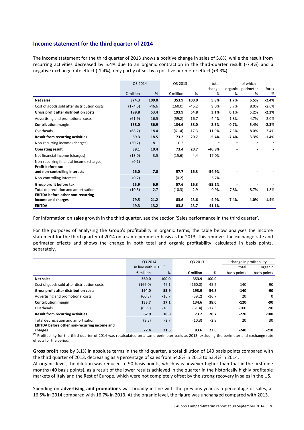# **Income statement for the third quarter of 2014**

The income statement for the third quarter of 2013 shows a positive change in sales of 5.8%, while the result from recurring activities decreased by 5.4% due to an organic contraction in the third-quarter result (-7.4%) and a negative exchange rate effect (-1.4%), only partly offset by a positive perimeter effect (+3.3%).

|                                             | Q3 2014            |         | Q3 2013            |                          | total    | of which |           |         |  |
|---------------------------------------------|--------------------|---------|--------------------|--------------------------|----------|----------|-----------|---------|--|
|                                             |                    |         |                    |                          | change   | organic  | perimeter | forex   |  |
|                                             | $\epsilon$ million | %       | $\epsilon$ million | %                        | %        | %        | %         | %       |  |
| <b>Net sales</b>                            | 374.3              | 100.0   | 353.9              | 100.0                    | 5.8%     | 1.7%     | 6.5%      | $-2.4%$ |  |
| Cost of goods sold after distribution costs | (174.5)            | $-46.6$ | (160.0)            | $-45.2$                  | 9.0%     | 3.7%     | 8.0%      | $-2.6%$ |  |
| Gross profit after distribution costs       | 199.8              | 53.4    | 193.9              | 54.8                     | 3.1%     | 0.1%     | 5.2%      | $-2.2%$ |  |
| Advertising and promotional costs           | (61.9)             | $-16.5$ | (59.2)             | $-16.7$                  | 4.4%     | 1.8%     | 4.7%      | $-2.0%$ |  |
| <b>Contribution margin</b>                  | 138.0              | 36.9    | 134.6              | 38.0                     | 2.5%     | $-0.7%$  | 5.4%      | $-2.3%$ |  |
| Overheads                                   | (68.7)             | $-18.4$ | (61.4)             | $-17.3$                  | 11.9%    | 7.3%     | 8.0%      | $-3.4%$ |  |
| <b>Result from recurring activities</b>     | 69.3               | 18.5    | 73.2               | 20.7                     | $-5.4%$  | $-7.4%$  | 3.3%      | $-1.4%$ |  |
| Non-recurring income (charges)              | (30.2)             | $-8.1$  | 0.2                |                          |          |          |           |         |  |
| <b>Operating result</b>                     | 39.1               | 10.4    | 73.4               | 20.7                     | $-46.8%$ |          |           |         |  |
| Net financial income (charges)              | (13.0)             | $-3.5$  | (15.6)             | $-4.4$                   | $-17.0%$ |          |           |         |  |
| Non-recurring financial income (charges)    | (0.1)              |         |                    |                          |          |          |           |         |  |
| Profit before tax                           |                    |         |                    |                          |          |          |           |         |  |
| and non-controlling interests               | 26.0               | 7.0     | 57.7               | 16.3                     | $-54.9%$ |          |           |         |  |
| Non-controlling interests                   | (0.2)              |         | (0.2)              | $\overline{\phantom{a}}$ | $-6.7%$  |          |           |         |  |
| Group profit before tax                     | 25.9               | 6.9     | 57.6               | 16.3                     | $-55.1%$ |          |           |         |  |
| Total depreciation and amortisation         | (10.3)             | $-2.7$  | (10.3)             | $-2.9$                   | $-0.9%$  | $-7.8%$  | 8.7%      | $-1.8%$ |  |
| <b>EBITDA before other non-recurring</b>    |                    |         |                    |                          |          |          |           |         |  |
| income and charges                          | 79.5               | 21.2    | 83.6               | 23.6                     | $-4.9%$  | $-7.4%$  | 4.0%      | $-1.4%$ |  |
| <b>EBITDA</b>                               | 49.3               | 13.2    | 83.8               | 23.7                     | $-41.1%$ |          |           |         |  |

For information on **sales** growth in the third quarter, see the section 'Sales performance in the third quarter'.

For the purposes of analysing the Group's profitability in organic terms, the table below analyses the income statement for the third quarter of 2014 on a same perimeter basis as for 2013. This removes the exchange rate and perimeter effects and shows the change in both total and organic profitability, calculated in basis points, separately.

|                                              | Q3 2014<br>in line with $2013$ <sup>(*)</sup> |         | Q3 2013            |         | change in profitability |              |
|----------------------------------------------|-----------------------------------------------|---------|--------------------|---------|-------------------------|--------------|
|                                              |                                               |         |                    |         | total                   | organic      |
|                                              | $\epsilon$ million                            | %       | $\epsilon$ million | %       | basis points            | basis points |
| <b>Net sales</b>                             | 360.0                                         | 100.0   | 353.9              | 100.0   |                         |              |
| Cost of goods sold after distribution costs  | (166.0)                                       | $-46.1$ | (160.0)            | $-45.2$ | $-140$                  | $-90$        |
| Gross profit after distribution costs        | 194.0                                         | 53.9    | 193.9              | 54.8    | $-140$                  | -90          |
| Advertising and promotional costs            | (60.3)                                        | $-16.7$ | (59.2)             | $-16.7$ | 20                      | $\Omega$     |
| <b>Contribution margin</b>                   | 133.7                                         | 37.1    | 134.6              | 38.0    | $-120$                  | -90          |
| Overheads                                    | (65.9)                                        | $-18.3$ | (61.4)             | $-17.3$ | $-100$                  | $-90$        |
| <b>Result from recurring activities</b>      | 67.9                                          | 18.8    | 73.2               | 20.7    | $-220$                  | $-180$       |
| Total depreciation and amortisation          | (9.5)                                         | $-2.7$  | (10.3)             | $-2.9$  | 20                      | 30           |
| EBITDA before other non-recurring income and |                                               |         |                    |         |                         |              |
| charges                                      | 77.4                                          | 21.5    | 83.6               | 23.6    | $-240$                  | $-210$       |

<sup>(\*)</sup> Profitability for the third quarter of 2014 was recalculated on a same perimeter basis as 2013, excluding the perimeter and exchange rate effects for the period.

**Gross profit** rose by 3.1% in absolute terms in the third quarter, a total dilution of 140 basis points compared with the third quarter of 2013, decreasing as a percentage of sales from 54.8% in 2013 to 53.4% in 2014. At organic level, the dilution was reduced to 90 basis points, which was however higher than that in the first nine months (40 basis points), as a result of the lower results achieved in the quarter in the historically highly profitable markets of Italy and the Rest of Europe, which were not completely offset by the strong recovery in sales in the US.

Spending on **advertising and promotions** was broadly in line with the previous year as a percentage of sales, at 16.5% in 2014 compared with 16.7% in 2013. At the organic level, the figure was unchanged compared with 2013.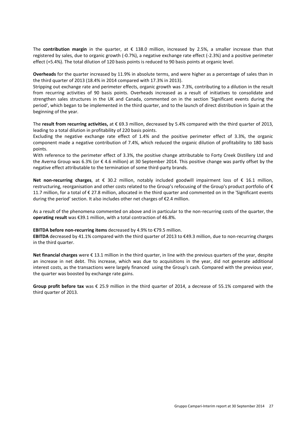The **contribution margin** in the quarter, at € 138.0 million, increased by 2.5%, a smaller increase than that registered by sales, due to organic growth (-0.7%), a negative exchange rate effect (-2.3%) and a positive perimeter effect (+5.4%). The total dilution of 120 basis points is reduced to 90 basis points at organic level.

**Overheads** for the quarter increased by 11.9% in absolute terms, and were higher as a percentage of sales than in the third quarter of 2013 (18.4% in 2014 compared with 17.3% in 2013).

Stripping out exchange rate and perimeter effects, organic growth was 7.3%, contributing to a dilution in the result from recurring activities of 90 basis points. Overheads increased as a result of initiatives to consolidate and strengthen sales structures in the UK and Canada, commented on in the section 'Significant events during the period', which began to be implemented in the third quarter, and to the launch of direct distribution in Spain at the beginning of the year.

The **result from recurring activities,** at € 69.3 million, decreased by 5.4% compared with the third quarter of 2013, leading to a total dilution in profitability of 220 basis points.

Excluding the negative exchange rate effect of 1.4% and the positive perimeter effect of 3.3%, the organic component made a negative contribution of 7.4%, which reduced the organic dilution of profitability to 180 basis points.

With reference to the perimeter effect of 3.3%, the positive change attributable to Forty Creek Distillery Ltd and the Averna Group was 6.3% (or € 4.6 million) at 30 September 2014. This positive change was partly offset by the negative effect attributable to the termination of some third-party brands.

**Net non-recurring charges**, at € 30.2 million, notably included goodwill impairment loss of € 16.1 million, restructuring, reorganisation and other costs related to the Group's refocusing of the Group's product portfolio of € 11.7 million, for a total of € 27.8 million, allocated in the third quarter and commented on in the 'Significant events during the period' section. It also includes other net charges of €2.4 million.

As a result of the phenomena commented on above and in particular to the non-recurring costs of the quarter, the **operating result** was €39.1 million, with a total contraction of 46.8%.

**EBITDA before non-recurring items** decreased by 4.9% to €79.5 million.

**EBITDA** decreased by 41.1% compared with the third quarter of 2013 to €49.3 million, due to non-recurring charges in the third quarter.

**Net financial charges** were € 13.1 million in the third quarter, in line with the previous quarters of the year, despite an increase in net debt. This increase, which was due to acquisitions in the year, did not generate additional interest costs, as the transactions were largely financed using the Group's cash. Compared with the previous year, the quarter was boosted by exchange rate gains.

**Group profit before tax** was € 25.9 million in the third quarter of 2014, a decrease of 55.1% compared with the third quarter of 2013.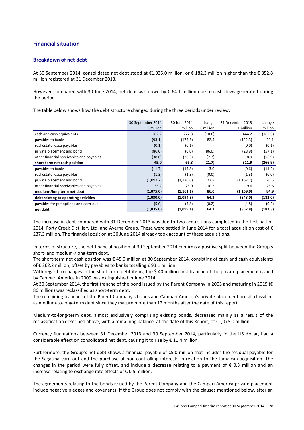# **Financial situation**

#### **Breakdown of net debt**

At 30 September 2014, consolidated net debt stood at €1,035.0 million, or € 182.3 million higher than the € 852.8 million registered at 31 December 2013.

However, compared with 30 June 2014, net debt was down by  $\epsilon$  64.1 million due to cash flows generated during the period.

The table below shows how the debt structure changed during the three periods under review.

|                                          | 30 September 2014  | 30 June 2014       | change             | 31 December 2013   | change             |
|------------------------------------------|--------------------|--------------------|--------------------|--------------------|--------------------|
|                                          | $\epsilon$ million | $\epsilon$ million | $\epsilon$ million | $\epsilon$ million | $\epsilon$ million |
| cash and cash equivalents                | 262.2              | 272.8              | (10.6)             | 444.2              | (182.0)            |
| payables to banks                        | (93.1)             | (175.6)            | 82.5               | (122.3)            | 29.1               |
| real estate lease payables               | (0.1)              | (0.1)              |                    | (0.0)              | (0.1)              |
| private placement and bond               | (86.0)             | (0.0)              | (86.0)             | (28.9)             | (57.1)             |
| other financial receivables and payables | (38.0)             | (30.3)             | (7.7)              | 18.9               | (56.9)             |
| short-term net cash position             | 45.0               | 66.8               | (21.7)             | 311.9              | (266.9)            |
| payables to banks                        | (11.7)             | (14.8)             | 3.0                | (0.6)              | (11.2)             |
| real estate lease payables               | (1.3)              | (1.3)              | (0.0)              | (1.3)              | (0.0)              |
| private placement and bond               | (1,097.2)          | (1, 170.0)         | 72.8               | (1, 167.7)         | 70.5               |
| other financial receivables and payables | 35.2               | 25.0               | 10.2               | 9.6                | 25.6               |
| medium-/long-term net debt               | (1,075.0)          | (1, 161.1)         | 86.0               | (1, 159.9)         | 84.9               |
| debt relating to operating activities    | (1,030.0)          | (1,094.3)          | 64.3               | (848.0)            | (182.0)            |
| payables for put options and earn-out    | (5.0)              | (4.8)              | (0.2)              | (4.8)              | (0.2)              |
| net debt                                 | (1,035.0)          | (1,099.1)          | 64.1               | (852.8)            | (182.3)            |

The increase in debt compared with 31 December 2013 was due to two acquisitions completed in the first half of 2014: Forty Creek Distillery Ltd. and Averna Group. These were settled in June 2014 for a total acquisition cost of € 237.3 million. The financial position at 30 June 2014 already took account of these acquisitions.

In terms of structure, the net financial position at 30 September 2014 confirms a positive split between the Group's short- and medium-/long-term debt.

The short-term net cash position was € 45.0 million at 30 September 2014, consisting of cash and cash equivalents of € 262.2 million, offset by payables to banks totalling € 93.1 million.

With regard to changes in the short-term debt items, the \$40 million first tranche of the private placement issued by Campari America in 2009 was extinguished in June 2014.

At 30 September 2014, the first tranche of the bond issued by the Parent Company in 2003 and maturing in 2015 (€ 86 million) was reclassified as short-term debt.

The remaining tranches of the Parent Company's bonds and Campari America's private placement are all classified as medium-to-long-term debt since they mature more than 12 months after the date of this report.

Medium-to-long-term debt, almost exclusively comprising existing bonds, decreased mainly as a result of the reclassification described above, with a remaining balance, at the date of this Report, of €1,075.0 million.

Currency fluctuations between 31 December 2013 and 30 September 2014, particularly in the US dollar, had a considerable effect on consolidated net debt, causing it to rise by  $\epsilon$  11.4 million.

Furthermore, the Group's net debt shows a financial payable of €5.0 million that includes the residual payable for the Sagatiba earn-out and the purchase of non-controlling interests in relation to the Jamaican acquisition. The changes in the period were fully offset, and include a decrease relating to a payment of € 0.3 million and an increase relating to exchange rate effects of € 0.5 million.

The agreements relating to the bonds issued by the Parent Company and the Campari America private placement include negative pledges and covenants. If the Group does not comply with the clauses mentioned below, after an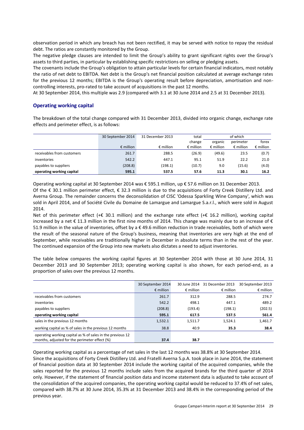observation period in which any breach has not been rectified, it may be served with notice to repay the residual debt. The ratios are constantly monitored by the Group.

The negative pledge clauses are intended to limit the Group's ability to grant significant rights over the Group's assets to third parties, in particular by establishing specific restrictions on selling or pledging assets.

The covenants include the Group's obligation to attain particular levels for certain financial indicators, most notably the ratio of net debt to EBITDA. Net debt is the Group's net financial position calculated at average exchange rates for the previous 12 months; EBITDA is the Group's operating result before depreciation, amortisation and noncontrolling interests, pro-rated to take account of acquisitions in the past 12 months.

At 30 September 2014, this multiple was 2.9 (compared with 3.1 at 30 June 2014 and 2.5 at 31 December 2013).

#### **Operating working capital**

The breakdown of the total change compared with 31 December 2013, divided into organic change, exchange rate effects and perimeter effect, is as follows:

|                            | 30 September 2014  | 31 December 2013   | total                        | of which                      |                                 |                             |
|----------------------------|--------------------|--------------------|------------------------------|-------------------------------|---------------------------------|-----------------------------|
|                            | $\epsilon$ million | $\epsilon$ million | change<br>$\epsilon$ million | organic<br>$\epsilon$ million | perimeter<br>$\epsilon$ million | forex<br>$\epsilon$ million |
| receivables from customers | 261.7              | 288.5              | (26.9)                       | (49.6)                        | 23.5                            | (0.7)                       |
| inventories                | 542.2              | 447.1              | 95.1                         | 51.9                          | 22.2                            | 21.0                        |
| payables to suppliers      | (208.8)            | (198.1)            | (10.7)                       | 9.0                           | (15.6)                          | (4.0)                       |
| operating working capital  | 595.1              | 537.5              | 57.6                         | 11.3                          | 30.1                            | 16.2                        |

Operating working capital at 30 September 2014 was € 595.1 million, up € 57.6 million on 31 December 2013. Of the € 30.1 million perimeter effect, € 32.3 million is due to the acquisitions of Forty Creek Distillery Ltd. and Averna Group. The remainder concerns the deconsolidation of CISC 'Odessa Sparkling Wine Company', which was sold in April 2014, and of Société Civile du Domaine de Lamargue and Lamargue S.a.r.l., which were sold in August 2014.

Net of this perimeter effect (+€ 30.1 million) and the exchange rate effect (+€ 16.2 million), working capital increased by a net  $\epsilon$  11.3 million in the first nine months of 2014. This change was mainly due to an increase of  $\epsilon$ 51.9 million in the value of inventories, offset by a € 49.6 million reduction in trade receivables, both of which were the result of the seasonal nature of the Group's business, meaning that inventories are very high at the end of September, while receivables are traditionally higher in December in absolute terms than in the rest of the year. The continued expansion of the Group into new markets also dictates a need to adjust inventories.

The table below compares the working capital figures at 30 September 2014 with those at 30 June 2014, 31 December 2013 and 30 September 2013; operating working capital is also shown, for each period-end, as a proportion of sales over the previous 12 months.

|                                                            | 30 September 2014  |                    | 30 June 2014 31 December 2013 | 30 September 2013  |
|------------------------------------------------------------|--------------------|--------------------|-------------------------------|--------------------|
|                                                            | $\epsilon$ million | $\epsilon$ million | $\epsilon$ million            | $\epsilon$ million |
| receivables from customers                                 | 261.7              | 312.9              | 288.5                         | 274.7              |
| inventories                                                | 542.2              | 498.1              | 447.1                         | 489.2              |
| payables to suppliers                                      | (208.8)            | (193.4)            | (198.1)                       | (202.5)            |
| operating working capital                                  | 595.1              | 617.5              | 537.5                         | 561.4              |
| sales in the previous 12 months                            | 1,532.1            | 1,511.7            | 1,524.1                       | 1,461.7            |
| working capital as % of sales in the previous 12 months    | 38.8               | 40.9               | 35.3                          | 38.4               |
| operating working capital as % of sales in the previous 12 |                    |                    |                               |                    |
| months, adjusted for the perimeter effect (%)              | 37.4               | 38.7               |                               |                    |

Operating working capital as a percentage of net sales in the last 12 months was 38.8% at 30 September 2014. Since the acquisitions of Forty Creek Distillery Ltd. and Fratelli Averna S.p.A. took place in June 2014, the statement of financial position data at 30 September 2014 include the working capital of the acquired companies, while the sales reported for the previous 12 months include sales from the acquired brands for the third quarter of 2014 only. However, if the statement of financial position data and income statement data is adjusted to take account of the consolidation of the acquired companies, the operating working capital would be reduced to 37.4% of net sales, compared with 38.7% at 30 June 2014, 35.3% at 31 December 2013 and 38.4% in the corresponding period of the previous year.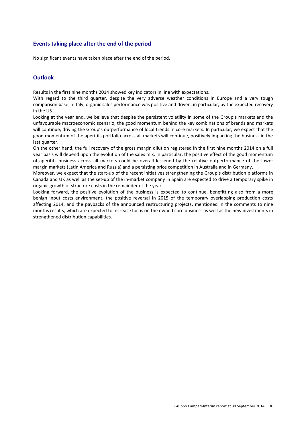# **Events taking place after the end of the period**

No significant events have taken place after the end of the period.

# **Outlook**

Results in the first nine months 2014 showed key indicators in line with expectations.

With regard to the third quarter, despite the very adverse weather conditions in Europe and a very tough comparison base in Italy, organic sales performance was positive and driven, in particular, by the expected recovery in the US.

Looking at the year end, we believe that despite the persistent volatility in some of the Group's markets and the unfavourable macroeconomic scenario, the good momentum behind the key combinations of brands and markets will continue, driving the Group's outperformance of local trends in core markets. In particular, we expect that the good momentum of the aperitifs portfolio across all markets will continue, positively impacting the business in the last quarter.

On the other hand, the full recovery of the gross margin dilution registered in the first nine months 2014 on a full year basis will depend upon the evolution of the sales mix. In particular, the positive effect of the good momentum of aperitifs business across all markets could be overall lessened by the relative outperformance of the lower margin markets (Latin America and Russia) and a persisting price competition in Australia and in Germany.

Moreover, we expect that the start-up of the recent initiatives strengthening the Group's distribution platforms in Canada and UK as well as the set-up of the in-market company in Spain are expected to drive a temporary spike in organic growth of structure costs in the remainder of the year.

Looking forward, the positive evolution of the business is expected to continue, benefitting also from a more benign input costs environment, the positive reversal in 2015 of the temporary overlapping production costs affecting 2014, and the paybacks of the announced restructuring projects, mentioned in the comments to nine months results, which are expected to increase focus on the owned core business as well as the new investments in strengthened distribution capabilities.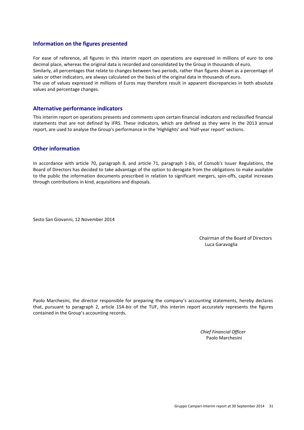### **Information on the figures presented**

For ease of reference, all figures in this interim report on operations are expressed in millions of euro to one decimal place, whereas the original data is recorded and consolidated by the Group in thousands of euro. Similarly, all percentages that relate to changes between two periods, rather than figures shown as a percentage of sales or other indicators, are always calculated on the basis of the original data in thousands of euro.

The use of values expressed in millions of Euros may therefore result in apparent discrepancies in both absolute values and percentage changes.

#### **Alternative performance indicators**

This interim report on operations presents and comments upon certain financial indicators and reclassified financial statements that are not defined by IFRS. These indicators, which are defined as they were in the 2013 annual report, are used to analyse the Group's performance in the 'Highlights' and 'Half-year report' sections.

### **Other information**

In accordance with article 70, paragraph 8, and article 71, paragraph 1-*bis*, of Consob's Issuer Regulations, the Board of Directors has decided to take advantage of the option to derogate from the obligations to make available to the public the information documents prescribed in relation to significant mergers, spin-offs, capital increases through contributions in kind, acquisitions and disposals.

Sesto San Giovanni, 12 November 2014

Chairman of the Board of Directors Luca Garavoglia

Paolo Marchesini, the director responsible for preparing the company's accounting statements, hereby declares that, pursuant to paragraph 2, article 154-*bis* of the TUF, this interim report accurately represents the figures contained in the Group's accounting records.

> *Chief Financial Officer* Paolo Marchesini